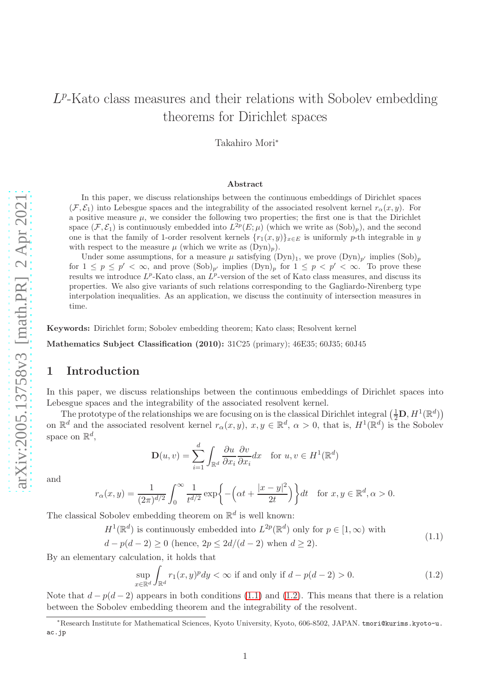# $L^p$ -Kato class measures and their relations with Sobolev embedding theorems for Dirichlet spaces

Takahiro Mori<sup>∗</sup>

#### Abstract

In this paper, we discuss relationships between the continuous embeddings of Dirichlet spaces  $(\mathcal{F}, \mathcal{E}_1)$  into Lebesgue spaces and the integrability of the associated resolvent kernel  $r_\alpha(x, y)$ . For a positive measure  $\mu$ , we consider the following two properties; the first one is that the Dirichlet space  $(\mathcal{F}, \mathcal{E}_1)$  is continuously embedded into  $L^{2p}(E; \mu)$  (which we write as  $(Sob)_p$ ), and the second one is that the family of 1-order resolvent kernels  ${r_1(x, y)}_{x \in E}$  is uniformly p-th integrable in y with respect to the measure  $\mu$  (which we write as  $(Dyn)_p$ ).

Under some assumptions, for a measure  $\mu$  satisfying  $(Dyn)_1$ , we prove  $(Dyn)_{p'}$  implies  $(Sob)_p$ for  $1 \leq p \leq p' < \infty$ , and prove  $(\text{Sob})_{p'}$  implies  $(\text{Dyn})_p$  for  $1 \leq p < p' < \infty$ . To prove these results we introduce  $L^p$ -Kato class, an  $L^p$ -version of the set of Kato class measures, and discuss its properties. We also give variants of such relations corresponding to the Gagliardo-Nirenberg type interpolation inequalities. As an application, we discuss the continuity of intersection measures in time.

Keywords: Dirichlet form; Sobolev embedding theorem; Kato class; Resolvent kernel

Mathematics Subject Classification (2010): 31C25 (primary); 46E35; 60J35; 60J45

## <span id="page-0-2"></span>1 Introduction

In this paper, we discuss relationships between the continuous embeddings of Dirichlet spaces into Lebesgue spaces and the integrability of the associated resolvent kernel.

The prototype of the relationships we are focusing on is the classical Dirichlet integral  $(\frac{1}{2}\mathbf{D}, H^1(\mathbb{R}^d))$ on  $\mathbb{R}^d$  and the associated resolvent kernel  $r_\alpha(x, y), x, y \in \mathbb{R}^d$ ,  $\alpha > 0$ , that is,  $H^1(\mathbb{R}^d)$  is the Sobolev space on  $\mathbb{R}^d$ ,

$$
\mathbf{D}(u,v) = \sum_{i=1}^{d} \int_{\mathbb{R}^d} \frac{\partial u}{\partial x_i} \frac{\partial v}{\partial x_i} dx \quad \text{for } u, v \in H^1(\mathbb{R}^d)
$$

and

$$
r_{\alpha}(x,y) = \frac{1}{(2\pi)^{d/2}} \int_0^{\infty} \frac{1}{t^{d/2}} \exp\left\{-\left(\alpha t + \frac{|x-y|^2}{2t}\right)\right\} dt \quad \text{for } x, y \in \mathbb{R}^d, \alpha > 0.
$$

The classical Sobolev embedding theorem on  $\mathbb{R}^d$  is well known:

 $H^1(\mathbb{R}^d)$  is continuously embedded into  $L^{2p}(\mathbb{R}^d)$  only for  $p \in [1,\infty)$  with

$$
d - p(d - 2) \ge 0 \text{ (hence, } 2p \le 2d/(d - 2) \text{ when } d \ge 2\text{)}.
$$
\n
$$
(1.1)
$$

<span id="page-0-0"></span>By an elementary calculation, it holds that

<span id="page-0-1"></span>
$$
\sup_{x \in \mathbb{R}^d} \int_{\mathbb{R}^d} r_1(x, y)^p dy < \infty \text{ if and only if } d - p(d - 2) > 0. \tag{1.2}
$$

Note that  $d - p(d - 2)$  appears in both conditions [\(1.1\)](#page-0-0) and [\(1.2\)](#page-0-1). This means that there is a relation between the Sobolev embedding theorem and the integrability of the resolvent.

<sup>∗</sup>Research Institute for Mathematical Sciences, Kyoto University, Kyoto, 606-8502, JAPAN. tmori@kurims.kyoto-u. ac.jp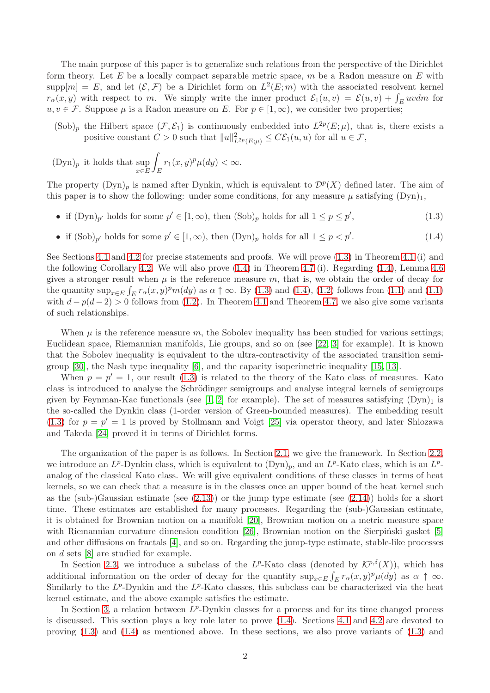The main purpose of this paper is to generalize such relations from the perspective of the Dirichlet form theory. Let E be a locally compact separable metric space,  $m$  be a Radon measure on E with  $\text{supp}[m] = E$ , and let  $(\mathcal{E}, \mathcal{F})$  be a Dirichlet form on  $L^2(E; m)$  with the associated resolvent kernel  $r_{\alpha}(x, y)$  with respect to m. We simply write the inner product  $\mathcal{E}_1(u, v) = \mathcal{E}(u, v) + \int_E uv dm$  for  $u, v \in \mathcal{F}$ . Suppose  $\mu$  is a Radon measure on E. For  $p \in [1,\infty)$ , we consider two properties;

 $(Sob)_p$  the Hilbert space  $(\mathcal{F}, \mathcal{E}_1)$  is continuously embedded into  $L^{2p}(E; \mu)$ , that is, there exists a positive constant  $C > 0$  such that  $||u||^2_{L^{2p}(E;\mu)} \leq C\mathcal{E}_1(u,u)$  for all  $u \in \mathcal{F}$ ,

$$
(\text{Dyn})_p
$$
 it holds that  $\sup_{x \in E} \int_E r_1(x, y)^p \mu(dy) < \infty$ .

The property  $(Dyn)_p$  is named after Dynkin, which is equivalent to  $\mathcal{D}^p(X)$  defined later. The aim of this paper is to show the following: under some conditions, for any measure  $\mu$  satisfying  $(Dyn)_1$ ,

- if  $(\text{Dyn})_{p'}$  holds for some  $p' \in [1, \infty)$ , then  $(\text{Sob})_p$  holds for all  $1 \leq p \leq p'$  $(1.3)$
- <span id="page-1-1"></span><span id="page-1-0"></span>• if  $(\text{Sob})_{p'}$  holds for some  $p' \in [1,\infty)$ , then  $(\text{Dyn})_p$  holds for all  $1 \leq p < p'$  $(1.4)$

See Sections [4.1](#page-12-0) and [4.2](#page-14-0) for precise statements and proofs. We will prove [\(1.3\)](#page-1-0) in Theorem [4.1](#page-12-1) (i) and the following Corollary [4.2.](#page-13-0) We will also prove [\(1.4\)](#page-1-1) in Theorem [4.7](#page-15-0) (i). Regarding [\(1.4\)](#page-1-1), Lemma [4.6](#page-14-1) gives a stronger result when  $\mu$  is the reference measure m, that is, we obtain the order of decay for the quantity  $\sup_{x \in E} \int_E r_\alpha(x, y)^p m(dy)$  as  $\alpha \uparrow \infty$ . By [\(1.3\)](#page-1-0) and [\(1.4\)](#page-1-1), [\(1.2\)](#page-0-1) follows from [\(1.1\)](#page-0-0) and (1.1) with  $d - p(d - 2) > 0$  follows from [\(1.2\)](#page-0-1). In Theorem [4.1](#page-12-1) and Theorem [4.7,](#page-15-0) we also give some variants of such relationships.

When  $\mu$  is the reference measure m, the Sobolev inequality has been studied for various settings; Euclidean space, Riemannian manifolds, Lie groups, and so on (see [\[22,](#page-21-0) [3\]](#page-20-0) for example). It is known that the Sobolev inequality is equivalent to the ultra-contractivity of the associated transition semigroup [\[30\]](#page-21-1), the Nash type inequality [\[6\]](#page-20-1), and the capacity isoperimetric inequality [\[15,](#page-20-2) [13\]](#page-20-3).

When  $p = p' = 1$ , our result [\(1.3\)](#page-1-0) is related to the theory of the Kato class of measures. Kato class is introduced to analyse the Schrödinger semigroups and analyse integral kernels of semigroups given by Feynman-Kac functionals (see [\[1,](#page-20-4) [2\]](#page-20-5) for example). The set of measures satisfying  $(Dyn)_1$  is the so-called the Dynkin class (1-order version of Green-bounded measures). The embedding result [\(1.3\)](#page-1-0) for  $p = p' = 1$  is proved by Stollmann and Voigt [\[25\]](#page-21-2) via operator theory, and later Shiozawa and Takeda [\[24\]](#page-21-3) proved it in terms of Dirichlet forms.

The organization of the paper is as follows. In Section [2.1,](#page-2-0) we give the framework. In Section [2.2,](#page-3-0) we introduce an  $L^p$ -Dynkin class, which is equivalent to  $(Dyn)_p$ , and an  $L^p$ -Kato class, which is an  $L^p$ analog of the classical Kato class. We will give equivalent conditions of these classes in terms of heat kernels, so we can check that a measure is in the classes once an upper bound of the heat kernel such as the (sub-)Gaussian estimate (see  $(2.13)$ ) or the jump type estimate (see  $(2.14)$ ) holds for a short time. These estimates are established for many processes. Regarding the (sub-)Gaussian estimate, it is obtained for Brownian motion on a manifold [\[20\]](#page-21-4), Brownian motion on a metric measure space with Riemannian curvature dimension condition  $[26]$ , Brownian motion on the Sierpinski gasket  $[5]$ and other diffusions on fractals [\[4\]](#page-20-7), and so on. Regarding the jump-type estimate, stable-like processes on d sets [\[8\]](#page-20-8) are studied for example.

In Section [2.3,](#page-7-0) we introduce a subclass of the  $L^p$ -Kato class (denoted by  $\mathcal{K}^{p,\delta}(X)$ ), which has additional information on the order of decay for the quantity  $\sup_{x \in E} \int_E r_\alpha(x, y)^p \mu(dy)$  as  $\alpha \uparrow \infty$ . Similarly to the  $L^p$ -Dynkin and the  $L^p$ -Kato classes, this subclass can be characterized via the heat kernel estimate, and the above example satisfies the estimate.

In Section [3,](#page-8-2) a relation between  $L^p$ -Dynkin classes for a process and for its time changed process is discussed. This section plays a key role later to prove [\(1.4\)](#page-1-1). Sections [4.1](#page-12-0) and [4.2](#page-14-0) are devoted to proving  $(1.3)$  and  $(1.4)$  as mentioned above. In these sections, we also prove variants of  $(1.3)$  and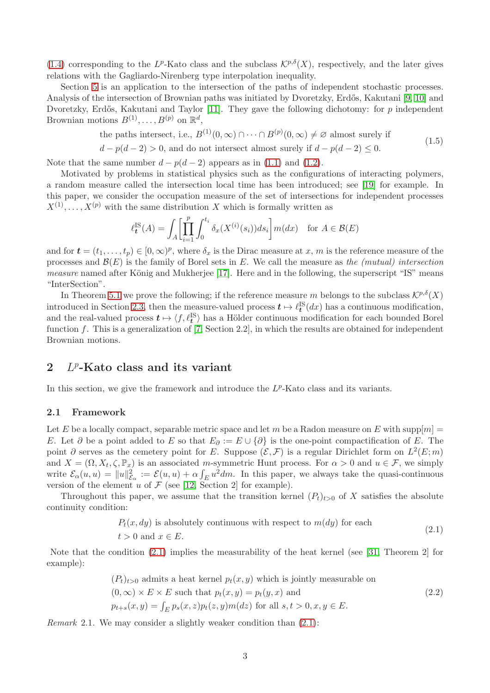[\(1.4\)](#page-1-1) corresponding to the L<sup>p</sup>-Kato class and the subclass  $\mathcal{K}^{p,\delta}(X)$ , respectively, and the later gives relations with the Gagliardo-Nirenberg type interpolation inequality.

Section [5](#page-18-0) is an application to the intersection of the paths of independent stochastic processes. Analysis of the intersection of Brownian paths was initiated by Dvoretzky, Erdős, Kakutani [\[9,](#page-20-9) [10\]](#page-20-10) and Dvoretzky, Erdős, Kakutani and Taylor  $[11]$ . They gave the following dichotomy: for p independent Brownian motions  $B^{(1)}, \ldots, B^{(p)}$  on  $\mathbb{R}^d$ ,

the paths intersect, i.e., 
$$
B^{(1)}(0, \infty) \cap \cdots \cap B^{(p)}(0, \infty) \neq \emptyset
$$
 almost surely if  $(1.5)$ 

 $d - p(d - 2) > 0$ , and do not intersect almost surely if  $d - p(d - 2) \leq 0$ .

Note that the same number  $d - p(d - 2)$  appears as in [\(1.1\)](#page-0-0) and [\(1.2\)](#page-0-1).

Motivated by problems in statistical physics such as the configurations of interacting polymers, a random measure called the intersection local time has been introduced; see [\[19\]](#page-21-6) for example. In this paper, we consider the occupation measure of the set of intersections for independent processes  $X^{(1)}, \ldots, X^{(p)}$  with the same distribution X which is formally written as

$$
\ell_t^{\text{IS}}(A) = \int_A \left[ \prod_{i=1}^p \int_0^{t_i} \delta_x(X^{(i)}(s_i)) ds_i \right] m(dx) \text{ for } A \in \mathcal{B}(E)
$$

and for  $\boldsymbol{t} = (t_1, \ldots, t_p) \in [0, \infty)^p$ , where  $\delta_x$  is the Dirac measure at x, m is the reference measure of the processes and  $\mathcal{B}(E)$  is the family of Borel sets in E. We call the measure as the *(mutual)* intersection measure named after König and Mukherjee [\[17\]](#page-20-12). Here and in the following, the superscript "IS" means "InterSection".

In Theorem [5.1](#page-18-1) we prove the following; if the reference measure m belongs to the subclass  $\mathcal{K}^{p,\delta}(X)$ introduced in Section [2.3,](#page-7-0) then the measure-valued process  $t \mapsto \ell_t^{\text{IS}}(dx)$  has a continuous modification, and the real-valued process  $t \mapsto \langle f, \ell_t^{\text{IS}} \rangle$  has a Hölder continuous modification for each bounded Borel function f. This is a generalization of [\[7,](#page-20-13) Section 2.2], in which the results are obtained for independent Brownian motions.

## $2$   $L^p$ -Kato class and its variant

In this section, we give the framework and introduce the  $L^p$ -Kato class and its variants.

## <span id="page-2-0"></span>2.1 Framework

Let E be a locally compact, separable metric space and let m be a Radon measure on E with supp $[m] =$ E. Let  $\partial$  be a point added to E so that  $E_{\partial} := E \cup \{\partial\}$  is the one-point compactification of E. The point  $\partial$  serves as the cemetery point for E. Suppose  $(\mathcal{E}, \mathcal{F})$  is a regular Dirichlet form on  $L^2(E; m)$ and  $X = (\Omega, X_t, \zeta, \mathbb{P}_x)$  is an associated m-symmetric Hunt process. For  $\alpha > 0$  and  $u \in \mathcal{F}$ , we simply write  $\mathcal{E}_{\alpha}(u, u) = ||u||_{\mathcal{E}_{\alpha}}^2 := \mathcal{E}(u, u) + \alpha \int_E u^2 dm$ . In this paper, we always take the quasi-continuous version of the element u of  $\mathcal F$  (see [\[12,](#page-20-14) Section 2] for example).

Throughout this paper, we assume that the transition kernel  $(P_t)_{t>0}$  of X satisfies the absolute continuity condition:

$$
P_t(x, dy)
$$
 is absolutely continuous with respect to  $m(dy)$  for each  $t > 0$  and  $x \in E$ . (2.1)

<span id="page-2-1"></span>Note that the condition [\(2.1\)](#page-2-1) implies the measurability of the heat kernel (see [\[31,](#page-21-7) Theorem 2] for example):

$$
(P_t)_{t>0}
$$
 admits a heat kernel  $p_t(x, y)$  which is jointly measurable on  
\n
$$
(0, \infty) \times E \times E
$$
 such that  $p_t(x, y) = p_t(y, x)$  and  
\n
$$
p_{t+s}(x, y) = \int_E p_s(x, z) p_t(z, y) m(dz)
$$
 for all  $s, t > 0, x, y \in E$ .  
\n(2.2)

<span id="page-2-2"></span>Remark 2.1. We may consider a slightly weaker condition than [\(2.1\)](#page-2-1):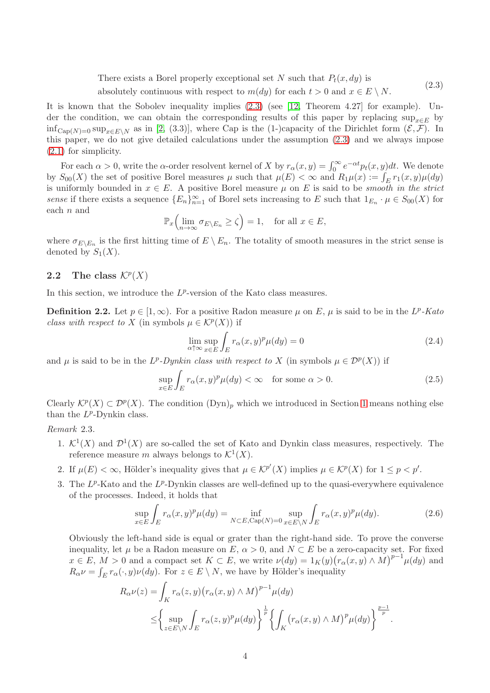There exists a Borel properly exceptional set N such that  $P_t(x, dy)$  is absolutely continuous with respect to  $m(dy)$  for each  $t > 0$  and  $x \in E \setminus N$ . (2.3)

<span id="page-3-1"></span>It is known that the Sobolev inequality implies [\(2.3\)](#page-3-1) (see [\[12,](#page-20-14) Theorem 4.27] for example). Under the condition, we can obtain the corresponding results of this paper by replacing sup<sub> $x \in E$ </sub> by  $\inf_{\text{Cap}(N)=0} \sup_{x \in E\setminus N}$  as in [\[2,](#page-20-5) (3.3)], where Cap is the (1-)capacity of the Dirichlet form  $(\mathcal{E}, \mathcal{F})$ . In this paper, we do not give detailed calculations under the assumption [\(2.3\)](#page-3-1) and we always impose [\(2.1\)](#page-2-1) for simplicity.

For each  $\alpha > 0$ , write the  $\alpha$ -order resolvent kernel of X by  $r_{\alpha}(x, y) = \int_0^{\infty} e^{-\alpha t} p_t(x, y) dt$ . We denote by  $S_{00}(X)$  the set of positive Borel measures  $\mu$  such that  $\mu(E) < \infty$  and  $R_1\mu(x) := \int_E r_1(x, y)\mu(dy)$ is uniformly bounded in  $x \in E$ . A positive Borel measure  $\mu$  on E is said to be *smooth in the strict* sense if there exists a sequence  ${E_n}_{n=1}^{\infty}$  of Borel sets increasing to E such that  $1_{E_n} \cdot \mu \in S_{00}(X)$  for each n and

$$
\mathbb{P}_x\Bigl(\lim_{n\to\infty}\sigma_{E\setminus E_n}\geq\zeta\Bigr)=1,\quad\text{for all }x\in E,
$$

where  $\sigma_{E\setminus E_n}$  is the first hitting time of  $E\setminus E_n$ . The totality of smooth measures in the strict sense is denoted by  $S_1(X)$ .

## <span id="page-3-0"></span>2.2 The class  $\mathcal{K}^p(X)$

In this section, we introduce the  $L^p$ -version of the Kato class measures.

<span id="page-3-4"></span>**Definition 2.2.** Let  $p \in [1,\infty)$ . For a positive Radon measure  $\mu$  on E,  $\mu$  is said to be in the L<sup>p</sup>-Kato class with respect to X (in symbols  $\mu \in \mathcal{K}^p(X)$ ) if

$$
\lim_{\alpha \uparrow \infty} \sup_{x \in E} \int_{E} r_{\alpha}(x, y)^{p} \mu(dy) = 0
$$
\n(2.4)

and  $\mu$  is said to be in the  $L^p$ -Dynkin class with respect to X (in symbols  $\mu \in \mathcal{D}^p(X)$ ) if

$$
\sup_{x \in E} \int_{E} r_{\alpha}(x, y)^{p} \mu(dy) < \infty \quad \text{for some } \alpha > 0. \tag{2.5}
$$

Clearly  $\mathcal{K}^p(X) \subset \mathcal{D}^p(X)$ . The condition  $(\text{Dyn})_p$  which we introduced in Section [1](#page-0-2) means nothing else than the  $L^p$ -Dynkin class.

## <span id="page-3-3"></span>Remark 2.3.

- 1.  $\mathcal{K}^1(X)$  and  $\mathcal{D}^1(X)$  are so-called the set of Kato and Dynkin class measures, respectively. The reference measure m always belongs to  $\mathcal{K}^1(X)$ .
- 2. If  $\mu(E) < \infty$ , Hölder's inequality gives that  $\mu \in \mathcal{K}^{p'}(X)$  implies  $\mu \in \mathcal{K}^{p}(X)$  for  $1 \leq p < p'$ .
- 3. The  $L^p$ -Kato and the  $L^p$ -Dynkin classes are well-defined up to the quasi-everywhere equivalence of the processes. Indeed, it holds that

<span id="page-3-2"></span>
$$
\sup_{x \in E} \int_{E} r_{\alpha}(x, y)^{p} \mu(dy) = \inf_{N \subset E, \text{Cap}(N) = 0} \sup_{x \in E \backslash N} \int_{E} r_{\alpha}(x, y)^{p} \mu(dy). \tag{2.6}
$$

Obviously the left-hand side is equal or grater than the right-hand side. To prove the converse inequality, let  $\mu$  be a Radon measure on E,  $\alpha > 0$ , and  $N \subset E$  be a zero-capacity set. For fixed  $x \in E, M > 0$  and a compact set  $K \subset E$ , we write  $\nu(dy) = 1_K(y)(r_\alpha(x, y) \wedge M)^{p-1}\mu(dy)$  and  $R_{\alpha} \nu = \int_E r_{\alpha}(\cdot, y) \nu(dy)$ . For  $z \in E \setminus N$ , we have by Hölder's inequality

$$
R_{\alpha}\nu(z) = \int_K r_{\alpha}(z, y) (r_{\alpha}(x, y) \wedge M)^{p-1} \mu(dy)
$$
  

$$
\leq \left\{ \sup_{z \in E \backslash N} \int_E r_{\alpha}(z, y)^p \mu(dy) \right\}^{\frac{1}{p}} \left\{ \int_K (r_{\alpha}(x, y) \wedge M)^p \mu(dy) \right\}^{\frac{p-1}{p}}.
$$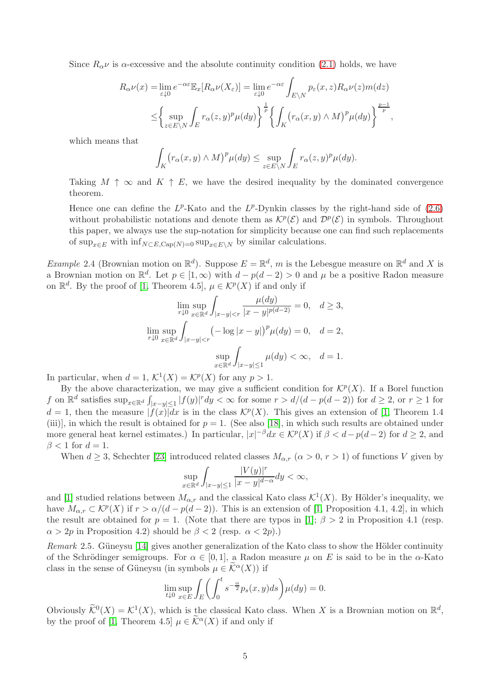Since  $R_{\alpha} \nu$  is  $\alpha$ -excessive and the absolute continuity condition [\(2.1\)](#page-2-1) holds, we have

$$
R_{\alpha}\nu(x) = \lim_{\varepsilon \downarrow 0} e^{-\alpha \varepsilon} \mathbb{E}_x[R_{\alpha}\nu(X_{\varepsilon})] = \lim_{\varepsilon \downarrow 0} e^{-\alpha \varepsilon} \int_{E \backslash N} p_{\varepsilon}(x, z) R_{\alpha}\nu(z) m(dz)
$$
  

$$
\leq \left\{ \sup_{z \in E \backslash N} \int_E r_{\alpha}(z, y)^p \mu(dy) \right\}^{\frac{1}{p}} \left\{ \int_K (r_{\alpha}(x, y) \wedge M)^p \mu(dy) \right\}^{\frac{p-1}{p}},
$$

which means that

$$
\int_{K} \left( r_{\alpha}(x, y) \wedge M \right)^{p} \mu(dy) \leq \sup_{z \in E \backslash N} \int_{E} r_{\alpha}(z, y)^{p} \mu(dy).
$$

Taking  $M \uparrow \infty$  and  $K \uparrow E$ , we have the desired inequality by the dominated convergence theorem.

Hence one can define the  $L^p$ -Kato and the  $L^p$ -Dynkin classes by the right-hand side of  $(2.6)$ without probabilistic notations and denote them as  $\mathcal{K}^p(\mathcal{E})$  and  $\mathcal{D}^p(\mathcal{E})$  in symbols. Throughout this paper, we always use the sup-notation for simplicity because one can find such replacements of sup<sub> $x \in E$ </sub> with  $\inf_{N \subset E, \text{Cap}(N)=0} \sup_{x \in E\setminus N}$  by similar calculations.

<span id="page-4-0"></span>*Example* 2.4 (Brownian motion on  $\mathbb{R}^d$ ). Suppose  $E = \mathbb{R}^d$ , m is the Lebesgue measure on  $\mathbb{R}^d$  and X is a Brownian motion on  $\mathbb{R}^d$ . Let  $p \in [1,\infty)$  with  $d - p(d-2) > 0$  and  $\mu$  be a positive Radon measure on  $\mathbb{R}^d$ . By the proof of [\[1,](#page-20-4) Theorem 4.5],  $\mu \in \mathcal{K}^p(X)$  if and only if

$$
\lim_{r \downarrow 0} \sup_{x \in \mathbb{R}^d} \int_{|x-y| < r} \frac{\mu(dy)}{|x-y|^{p(d-2)}} = 0, \quad d \ge 3,
$$
\n
$$
\lim_{r \downarrow 0} \sup_{x \in \mathbb{R}^d} \int_{|x-y| < r} (-\log |x-y|)^p \mu(dy) = 0, \quad d = 2,
$$
\n
$$
\sup_{x \in \mathbb{R}^d} \int_{|x-y| \le 1} \mu(dy) < \infty, \quad d = 1.
$$

In particular, when  $d = 1$ ,  $\mathcal{K}^1(X) = \mathcal{K}^p(X)$  for any  $p > 1$ .

By the above characterization, we may give a sufficient condition for  $\mathcal{K}^p(X)$ . If a Borel function f on  $\mathbb{R}^d$  satisfies  $\sup_{x\in\mathbb{R}^d} \int_{|x-y|\leq 1} |f(y)|^r dy < \infty$  for some  $r > d/(d-p(d-2))$  for  $d \geq 2$ , or  $r \geq 1$  for  $d=1$ , then the measure  $|f(x)|dx$  is in the class  $\mathcal{K}^p(X)$ . This gives an extension of [\[1,](#page-20-4) Theorem 1.4 (iii)], in which the result is obtained for  $p = 1$ . (See also [\[18\]](#page-21-8), in which such results are obtained under more general heat kernel estimates.) In particular,  $|x|^{-\beta}dx \in \mathcal{K}^p(X)$  if  $\beta < d-p(d-2)$  for  $d \geq 2$ , and  $\beta$  < 1 for  $d = 1$ .

When  $d \geq 3$ , Schechter [\[23\]](#page-21-9) introduced related classes  $M_{\alpha,r}$   $(\alpha > 0, r > 1)$  of functions V given by

$$
\sup_{x \in \mathbb{R}^d} \int_{|x-y| \le 1} \frac{|V(y)|^r}{|x-y|^{d-\alpha}} dy < \infty,
$$

and [\[1\]](#page-20-4) studied relations between  $M_{\alpha,r}$  and the classical Kato class  $\mathcal{K}^1(X)$ . By Hölder's inequality, we have  $M_{\alpha,r} \subset \mathcal{K}^p(X)$  if  $r > \alpha/(d-p(d-2))$ . This is an extension of [\[1,](#page-20-4) Proposition 4.1, 4.2], in which the result are obtained for  $p = 1$ . (Note that there are typos in [\[1\]](#page-20-4);  $\beta > 2$  in Proposition 4.1 (resp.  $\alpha > 2p$  in Proposition 4.2) should be  $\beta < 2$  (resp.  $\alpha < 2p$ ).)

*Remark* 2.5. Güneysu [14] gives another generalization of the Kato class to show the Hölder continuity of the Schrödinger semigroups. For  $\alpha \in [0,1]$ , a Radon measure  $\mu$  on E is said to be in the  $\alpha$ -Kato class in the sense of Güneysu (in symbols  $\mu \in \widetilde{\mathcal{K}}^{\alpha}(X)$ ) if

$$
\lim_{t \downarrow 0} \sup_{x \in E} \int_{E} \left( \int_{0}^{t} s^{-\frac{\alpha}{2}} p_s(x, y) ds \right) \mu(dy) = 0.
$$

Obviously  $\widetilde{\mathcal{K}}^0(X) = \mathcal{K}^1(X)$ , which is the classical Kato class. When X is a Brownian motion on  $\mathbb{R}^d$ , by the proof of [\[1,](#page-20-4) Theorem 4.5]  $\mu \in \widetilde{\mathcal{K}}^{\alpha}(X)$  if and only if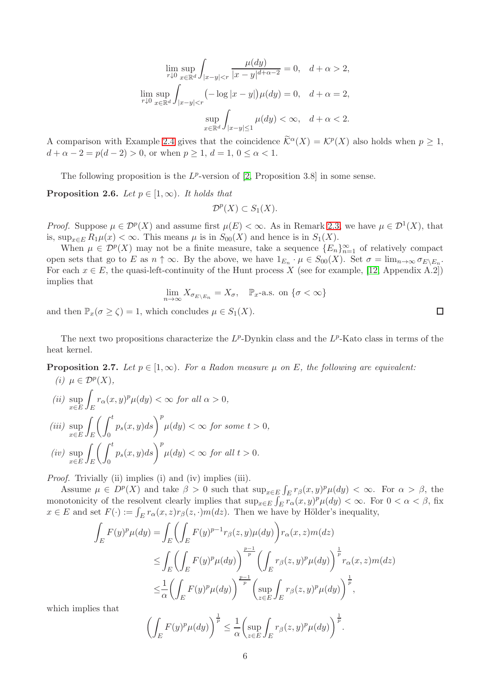$$
\lim_{r \downarrow 0} \sup_{x \in \mathbb{R}^d} \int_{|x-y| < r} \frac{\mu(dy)}{|x-y|^{d+\alpha-2}} = 0, \quad d + \alpha > 2,
$$
\n
$$
\lim_{r \downarrow 0} \sup_{x \in \mathbb{R}^d} \int_{|x-y| < r} \left( -\log|x-y| \right) \mu(dy) = 0, \quad d + \alpha = 2,
$$
\n
$$
\sup_{x \in \mathbb{R}^d} \int_{|x-y| \le 1} \mu(dy) < \infty, \quad d + \alpha < 2.
$$

A comparison with Example [2.4](#page-4-0) gives that the coincidence  $\hat{\mathcal{K}}^{\alpha}(X) = \mathcal{K}^p(X)$  also holds when  $p \geq 1$ ,  $d + \alpha - 2 = p(d - 2) > 0$ , or when  $p > 1$ ,  $d = 1$ ,  $0 \leq \alpha \leq 1$ .

The following proposition is the  $L^p$ -version of [\[2,](#page-20-5) Proposition 3.8] in some sense.

**Proposition 2.6.** Let  $p \in [1,\infty)$ . It holds that

$$
\mathcal{D}^p(X) \subset S_1(X).
$$

*Proof.* Suppose  $\mu \in \mathcal{D}^p(X)$  and assume first  $\mu(E) < \infty$ . As in Remark [2.3,](#page-3-3) we have  $\mu \in \mathcal{D}^1(X)$ , that is,  $\sup_{x \in E} R_1 \mu(x) < \infty$ . This means  $\mu$  is in  $S_{00}(X)$  and hence is in  $S_1(X)$ .

When  $\mu \in \mathcal{D}^p(X)$  may not be a finite measure, take a sequence  $\{E_n\}_{n=1}^{\infty}$  of relatively compact open sets that go to E as  $n \uparrow \infty$ . By the above, we have  $1_{E_n} \cdot \mu \in S_{00}(X)$ . Set  $\sigma = \lim_{n \to \infty} \sigma_{E \setminus E_n}$ . For each  $x \in E$ , the quasi-left-continuity of the Hunt process X (see for example, [\[12,](#page-20-14) Appendix A.2]) implies that

$$
\lim_{n \to \infty} X_{\sigma_{E \setminus E_n}} = X_{\sigma}, \quad \mathbb{P}_{x} \text{-a.s. on } \{\sigma < \infty\}
$$

and then  $\mathbb{P}_x(\sigma \geq \zeta) = 1$ , which concludes  $\mu \in S_1(X)$ .

The next two propositions characterize the  $L^p$ -Dynkin class and the  $L^p$ -Kato class in terms of the heat kernel.

<span id="page-5-0"></span>**Proposition 2.7.** Let  $p \in [1,\infty)$ . For a Radon measure  $\mu$  on E, the following are equivalent: (i)  $\mu \in \mathcal{D}^p(X)$ ,

 $(ii)$  sup x∈E E  $r_{\alpha}(x, y)^p \mu(dy) < \infty$  for all  $\alpha > 0$ ,  $(iii)$  sup x∈E Z E  $\int f^t$  $\mathbf{0}$  $p_s(x, y)ds\bigg)^p \mu(dy) < \infty$  for some  $t > 0$ ,  $(iv)$  sup x∈E Z E  $\int f^t$  $\theta$  $p_s(x, y)ds$   $\bigg\}^p \mu(dy) < \infty$  for all  $t > 0$ .

Proof. Trivially (ii) implies (i) and (iv) implies (iii).

Assume  $\mu \in D^p(X)$  and take  $\beta > 0$  such that  $\sup_{x \in E} \int_E r_\beta(x, y)^p \mu(dy) < \infty$ . For  $\alpha > \beta$ , the monotonicity of the resolvent clearly implies that  $\sup_{x \in E} \int_E r_\alpha(x, y)^p \mu(dy) < \infty$ . For  $0 < \alpha < \beta$ , fix  $x \in E$  and set  $F(\cdot) := \int_E r_\alpha(x, z) r_\beta(z, \cdot) m(dz)$ . Then we have by Hölder's inequality,

$$
\int_{E} F(y)^{p} \mu(dy) = \int_{E} \left( \int_{E} F(y)^{p-1} r_{\beta}(z, y) \mu(dy) \right) r_{\alpha}(x, z) m(dz)
$$
\n
$$
\leq \int_{E} \left( \int_{E} F(y)^{p} \mu(dy) \right)^{\frac{p-1}{p}} \left( \int_{E} r_{\beta}(z, y)^{p} \mu(dy) \right)^{\frac{1}{p}} r_{\alpha}(x, z) m(dz)
$$
\n
$$
\leq \frac{1}{\alpha} \left( \int_{E} F(y)^{p} \mu(dy) \right)^{\frac{p-1}{p}} \left( \sup_{z \in E} \int_{E} r_{\beta}(z, y)^{p} \mu(dy) \right)^{\frac{1}{p}},
$$

which implies that

$$
\left(\int_{E} F(y)^{p} \mu(dy)\right)^{\frac{1}{p}} \leq \frac{1}{\alpha} \left(\sup_{z \in E} \int_{E} r_{\beta}(z, y)^{p} \mu(dy)\right)^{\frac{1}{p}}.
$$

 $\Box$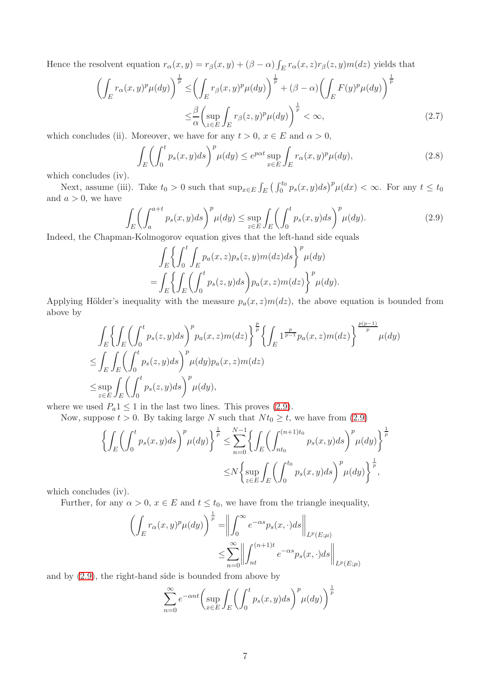Hence the resolvent equation  $r_{\alpha}(x, y) = r_{\beta}(x, y) + (\beta - \alpha) \int_E r_{\alpha}(x, z) r_{\beta}(z, y) m(dz)$  yields that

$$
\left(\int_{E} r_{\alpha}(x,y)^{p} \mu(dy)\right)^{\frac{1}{p}} \leq \left(\int_{E} r_{\beta}(x,y)^{p} \mu(dy)\right)^{\frac{1}{p}} + (\beta - \alpha) \left(\int_{E} F(y)^{p} \mu(dy)\right)^{\frac{1}{p}} \leq \frac{\beta}{\alpha} \left(\sup_{z \in E} \int_{E} r_{\beta}(z,y)^{p} \mu(dy)\right)^{\frac{1}{p}} < \infty,
$$
\n(2.7)

which concludes (ii). Moreover, we have for any  $t > 0$ ,  $x \in E$  and  $\alpha > 0$ ,

<span id="page-6-2"></span><span id="page-6-1"></span>
$$
\int_{E} \left( \int_{0}^{t} p_s(x, y) ds \right)^{p} \mu(dy) \le e^{p\alpha t} \sup_{x \in E} \int_{E} r_{\alpha}(x, y)^{p} \mu(dy), \tag{2.8}
$$

which concludes (iv).

Next, assume (iii). Take  $t_0 > 0$  such that  $\sup_{x \in E} \int_E \left( \int_0^{t_0} p_s(x, y) ds \right)^p \mu(dx) < \infty$ . For any  $t \le t_0$ and  $a > 0$ , we have

<span id="page-6-0"></span>
$$
\int_{E} \left( \int_{a}^{a+t} p_s(x, y) ds \right)^p \mu(dy) \le \sup_{z \in E} \int_{E} \left( \int_{0}^{t} p_s(x, y) ds \right)^p \mu(dy). \tag{2.9}
$$

Indeed, the Chapman-Kolmogorov equation gives that the left-hand side equals

$$
\int_{E} \left\{ \int_{0}^{t} \int_{E} p_a(x, z) p_s(z, y) m(dz) ds \right\}^p \mu(dy)
$$
  
= 
$$
\int_{E} \left\{ \int_{E} \left( \int_{0}^{t} p_s(z, y) ds \right) p_a(x, z) m(dz) \right\}^p \mu(dy).
$$

Applying Hölder's inequality with the measure  $p_a(x, z)m(dz)$ , the above equation is bounded from above by

$$
\int_{E} \left\{ \int_{E} \left( \int_{0}^{t} p_s(z, y) ds \right)^p p_a(x, z) m(dz) \right\}^{\frac{p}{p}} \left\{ \int_{E} 1^{\frac{p}{p-1}} p_a(x, z) m(dz) \right\}^{\frac{p(p-1)}{p}} \mu(dy)
$$
\n
$$
\leq \int_{E} \int_{E} \left( \int_{0}^{t} p_s(z, y) ds \right)^p \mu(dy) p_a(x, z) m(dz)
$$
\n
$$
\leq \sup_{z \in E} \int_{E} \left( \int_{0}^{t} p_s(z, y) ds \right)^p \mu(dy),
$$

where we used  $P_a 1 \leq 1$  in the last two lines. This proves [\(2.9\)](#page-6-0).

Now, suppose  $t > 0$ . By taking large N such that  $N t_0 \geq t$ , we have from [\(2.9\)](#page-6-0)

$$
\left\{ \int_{E} \left( \int_{0}^{t} p_{s}(x, y) ds \right)^{p} \mu(dy) \right\}^{\frac{1}{p}} \leq \sum_{n=0}^{N-1} \left\{ \int_{E} \left( \int_{nt_{0}}^{(n+1)t_{0}} p_{s}(x, y) ds \right)^{p} \mu(dy) \right\}^{\frac{1}{p}}
$$

$$
\leq N \left\{ \sup_{z \in E} \int_{E} \left( \int_{0}^{t_{0}} p_{s}(x, y) ds \right)^{p} \mu(dy) \right\}^{\frac{1}{p}},
$$

which concludes (iv).

Further, for any  $\alpha > 0$ ,  $x \in E$  and  $t \le t_0$ , we have from the triangle inequality,

$$
\left(\int_{E} r_{\alpha}(x,y)^{p} \mu(dy)\right)^{\frac{1}{p}} = \left\|\int_{0}^{\infty} e^{-\alpha s} p_{s}(x,\cdot) ds \right\|_{L^{p}(E;\mu)}
$$

$$
\leq \sum_{n=0}^{\infty} \left\|\int_{nt}^{(n+1)t} e^{-\alpha s} p_{s}(x,\cdot) ds \right\|_{L^{p}(E;\mu)}
$$

and by [\(2.9\)](#page-6-0), the right-hand side is bounded from above by

$$
\sum_{n=0}^{\infty} e^{-\alpha nt} \left( \sup_{x \in E} \int_{E} \left( \int_{0}^{t} p_s(x, y) ds \right)^{p} \mu(dy) \right)^{\frac{1}{p}}
$$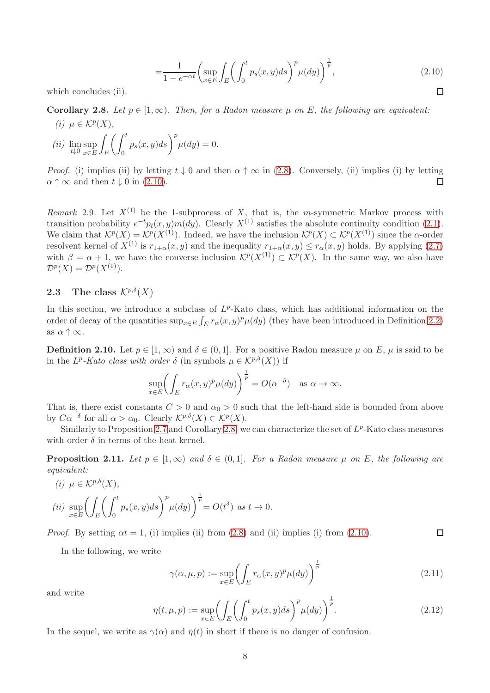<span id="page-7-1"></span>
$$
=\frac{1}{1-e^{-\alpha t}}\left(\sup_{x\in E}\int_{E}\left(\int_{0}^{t}p_{s}(x,y)ds\right)^{p}\mu(dy)\right)^{\frac{1}{p}},\tag{2.10}
$$

which concludes (ii).

<span id="page-7-2"></span>Corollary 2.8. Let  $p \in [1,\infty)$ . Then, for a Radon measure  $\mu$  on E, the following are equivalent: (i)  $\mu \in \mathcal{K}^p(X)$ ,

$$
(ii) \lim_{t \downarrow 0} \sup_{x \in E} \int_{E} \left( \int_{0}^{t} p_s(x, y) ds \right)^{p} \mu(dy) = 0.
$$

*Proof.* (i) implies (ii) by letting  $t \downarrow 0$  and then  $\alpha \uparrow \infty$  in [\(2.8\)](#page-6-1). Conversely, (ii) implies (i) by letting  $\alpha \uparrow \infty$  and then  $t \downarrow 0$  in [\(2.10\)](#page-7-1).  $\Box$ 

<span id="page-7-3"></span>Remark 2.9. Let  $X^{(1)}$  be the 1-subprocess of X, that is, the m-symmetric Markov process with transition probability  $e^{-t}p_t(x, y)m(dy)$ . Clearly  $X^{(1)}$  satisfies the absolute continuity condition [\(2.1\)](#page-2-1). We claim that  $\mathcal{K}^p(X) = \mathcal{K}^p(X^{(1)})$ . Indeed, we have the inclusion  $\mathcal{K}^p(X) \subset \mathcal{K}^p(X^{(1)})$  since the  $\alpha$ -order resolvent kernel of  $X^{(1)}$  is  $r_{1+\alpha}(x, y)$  and the inequality  $r_{1+\alpha}(x, y) \leq r_{\alpha}(x, y)$  holds. By applying [\(2.7\)](#page-6-2) with  $\beta = \alpha + 1$ , we have the converse inclusion  $\mathcal{K}^p(X^{(1)}) \subset \mathcal{K}^p(X)$ . In the same way, we also have  $\mathcal{D}^p(X) = \mathcal{D}^p(X^{(1)}).$ 

## <span id="page-7-0"></span>**2.3** The class  $\mathcal{K}^{p,\delta}(X)$

In this section, we introduce a subclass of  $L^p$ -Kato class, which has additional information on the order of decay of the quantities  $\sup_{x \in E} \int_E r_\alpha(x, y)^p \mu(dy)$  (they have been introduced in Definition [2.2\)](#page-3-4) as  $\alpha \uparrow \infty$ .

**Definition 2.10.** Let  $p \in [1,\infty)$  and  $\delta \in (0,1]$ . For a positive Radon measure  $\mu$  on E,  $\mu$  is said to be in the  $L^p$ -Kato class with order  $\delta$  (in symbols  $\mu \in \mathcal{K}^{p,\delta}(X)$ ) if

$$
\sup_{x \in E} \left( \int_E r_\alpha(x, y)^p \mu(dy) \right)^{\frac{1}{p}} = O(\alpha^{-\delta}) \quad \text{as } \alpha \to \infty.
$$

That is, there exist constants  $C > 0$  and  $\alpha_0 > 0$  such that the left-hand side is bounded from above by  $C\alpha^{-\delta}$  for all  $\alpha > \alpha_0$ . Clearly  $\mathcal{K}^{p,\delta}(X) \subset \mathcal{K}^p(X)$ .

Similarly to Proposition [2.7](#page-5-0) and Corollary [2.8,](#page-7-2) we can characterize the set of  $L^p$ -Kato class measures with order  $\delta$  in terms of the heat kernel.

**Proposition 2.11.** Let  $p \in [1,\infty)$  and  $\delta \in (0,1]$ . For a Radon measure  $\mu$  on E, the following are equivalent:

(i) 
$$
\mu \in \mathcal{K}^{p,\delta}(X)
$$
,  
\n(ii)  $\sup_{x \in E} \left( \int_E \left( \int_0^t p_s(x, y) ds \right)^p \mu(dy) \right)^{\frac{1}{p}} = O(t^{\delta}) \text{ as } t \to 0.$ 

*Proof.* By setting  $\alpha t = 1$ , (i) implies (ii) from [\(2.8\)](#page-6-1) and (ii) implies (i) from [\(2.10\)](#page-7-1).  $\Box$ 

In the following, we write

<span id="page-7-4"></span>
$$
\gamma(\alpha,\mu,p) := \sup_{x \in E} \left( \int_E r_\alpha(x,y)^p \mu(dy) \right)^{\frac{1}{p}} \tag{2.11}
$$

and write

<span id="page-7-5"></span>
$$
\eta(t,\mu,p) := \sup_{x \in E} \left( \int_E \left( \int_0^t p_s(x,y)ds \right)^p \mu(dy) \right)^{\frac{1}{p}}.
$$
\n(2.12)

In the sequel, we write as  $\gamma(\alpha)$  and  $\eta(t)$  in short if there is no danger of confusion.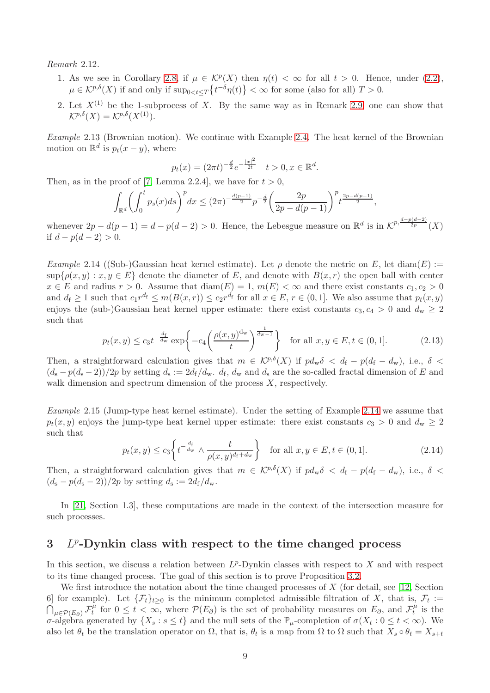<span id="page-8-5"></span>Remark 2.12.

- 1. As we see in Corollary [2.8,](#page-7-2) if  $\mu \in \mathcal{K}^p(X)$  then  $\eta(t) < \infty$  for all  $t > 0$ . Hence, under [\(2.2\)](#page-2-2),  $\mu \in \mathcal{K}^{p,\delta}(X)$  if and only if  $\sup_{0 \le t \le T} \{t^{-\delta}\eta(t)\} < \infty$  for some (also for all)  $T > 0$ .
- 2. Let  $X^{(1)}$  be the 1-subprocess of X. By the same way as in Remark [2.9,](#page-7-3) one can show that  $\mathcal{K}^{p,\delta}(X) = \mathcal{K}^{p,\delta}(X^{(1)}).$

<span id="page-8-4"></span>Example 2.13 (Brownian motion). We continue with Example [2.4.](#page-4-0) The heat kernel of the Brownian motion on  $\mathbb{R}^d$  is  $p_t(x-y)$ , where

<span id="page-8-0"></span>
$$
p_t(x) = (2\pi t)^{-\frac{d}{2}} e^{-\frac{|x|^2}{2t}} \quad t > 0, x \in \mathbb{R}^d.
$$

Then, as in the proof of [\[7,](#page-20-13) Lemma 2.2.4], we have for  $t > 0$ ,

$$
\int_{\mathbb{R}^d} \left( \int_0^t p_s(x) ds \right)^p dx \le (2\pi)^{-\frac{d(p-1)}{2}} p^{-\frac{d}{2}} \left( \frac{2p}{2p - d(p-1)} \right)^p t^{\frac{2p - d(p-1)}{2}},
$$

whenever  $2p - d(p-1) = d - p(d-2) > 0$ . Hence, the Lebesgue measure on  $\mathbb{R}^d$  is in  $\mathcal{K}^{p, \frac{d-p(d-2)}{2p}}(X)$ if  $d - p(d - 2) > 0$ .

<span id="page-8-3"></span>Example 2.14 ((Sub-)Gaussian heat kernel estimate). Let  $\rho$  denote the metric on E, let diam(E) :=  $\sup\{\rho(x,y): x,y \in E\}$  denote the diameter of E, and denote with  $B(x,r)$  the open ball with center  $x \in E$  and radius  $r > 0$ . Assume that  $\text{diam}(E) = 1$ ,  $m(E) < \infty$  and there exist constants  $c_1, c_2 > 0$ and  $d_f \geq 1$  such that  $c_1 r^{d_f} \leq m(B(x,r)) \leq c_2 r^{d_f}$  for all  $x \in E$ ,  $r \in (0,1]$ . We also assume that  $p_t(x,y)$ enjoys the (sub-)Gaussian heat kernel upper estimate: there exist constants  $c_3, c_4 > 0$  and  $d_w \geq 2$ such that

$$
p_t(x,y) \le c_3 t^{-\frac{d_t}{d_w}} \exp\left\{-c_4 \left(\frac{\rho(x,y)^{d_w}}{t}\right)^{\frac{1}{d_w-1}}\right\} \quad \text{for all } x, y \in E, t \in (0,1]. \tag{2.13}
$$

Then, a straightforward calculation gives that  $m \in \mathcal{K}^{p,\delta}(X)$  if  $pd_w\delta < d_f - p(d_f - d_w)$ , i.e.,  $\delta <$  $(d_s - p(d_s - 2))/2p$  by setting  $d_s := 2d_f/d_w$ .  $d_f$ ,  $d_w$  and  $d_s$  are the so-called fractal dimension of E and walk dimension and spectrum dimension of the process X, respectively.

Example 2.15 (Jump-type heat kernel estimate). Under the setting of Example [2.14](#page-8-3) we assume that  $p_t(x, y)$  enjoys the jump-type heat kernel upper estimate: there exist constants  $c_3 > 0$  and  $d_w \geq 2$ such that

<span id="page-8-1"></span>
$$
p_t(x,y) \le c_3 \left\{ t^{-\frac{d_t}{d_w}} \wedge \frac{t}{\rho(x,y)^{d_t + d_w}} \right\} \quad \text{for all } x, y \in E, t \in (0,1]. \tag{2.14}
$$

Then, a straightforward calculation gives that  $m \in \mathcal{K}^{p,\delta}(X)$  if  $pd_w\delta < d_f - p(d_f - d_w)$ , i.e.,  $\delta <$  $(d_{\rm s}-p(d_{\rm s}-2))/2p$  by setting  $d_{\rm s}:=2d_{\rm f}/d_{\rm w}$ .

In [\[21,](#page-21-10) Section 1.3], these computations are made in the context of the intersection measure for such processes.

## <span id="page-8-2"></span> $3$   $L^p$ -Dynkin class with respect to the time changed process

In this section, we discuss a relation between  $L^p$ -Dynkin classes with respect to X and with respect to its time changed process. The goal of this section is to prove Proposition [3.2.](#page-10-0)

We first introduce the notation about the time changed processes of  $X$  (for detail, see [\[12,](#page-20-14) Section 6 for example). Let  $\{\mathcal{F}_t\}_{t\geq 0}$  is the minimum completed admissible filtration of X, that is,  $\mathcal{F}_t :=$  $\bigcap_{\mu\in\mathcal{P}(E_\partial)}\mathcal{F}_t^\mu$  $t_t^{\mu}$  for  $0 \leq t < \infty$ , where  $\mathcal{P}(E_{\partial})$  is the set of probability measures on  $E_{\partial}$ , and  $\mathcal{F}_t^{\mu}$  $t^{\mu}$  is the σ-algebra generated by  $\{X_s : s \le t\}$  and the null sets of the  $\mathbb{P}_{\mu}$ -completion of  $\sigma(X_t : 0 \le t < \infty)$ . We also let  $\theta_t$  be the translation operator on  $\Omega$ , that is,  $\theta_t$  is a map from  $\Omega$  to  $\Omega$  such that  $X_s \circ \theta_t = X_{s+t}$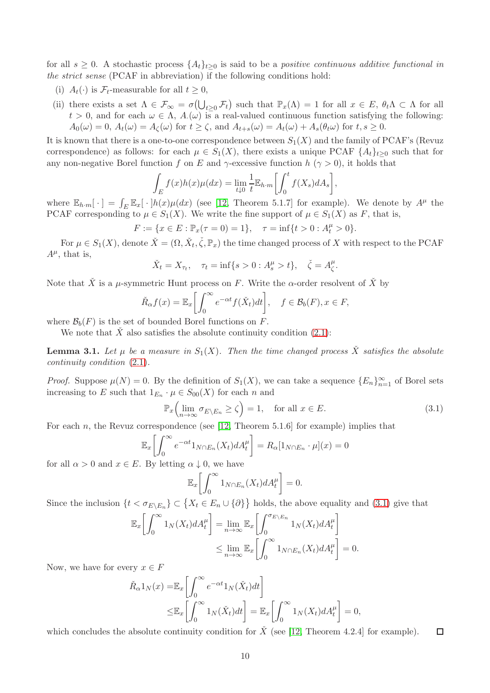for all  $s \geq 0$ . A stochastic process  $\{A_t\}_{t>0}$  is said to be a *positive continuous additive functional in* the strict sense (PCAF in abbreviation) if the following conditions hold:

- (i)  $A_t(\cdot)$  is  $\mathcal{F}_t$ -measurable for all  $t \geq 0$ ,
- (ii) there exists a set  $\Lambda \in \mathcal{F}_{\infty} = \sigma(\bigcup_{t \geq 0} \mathcal{F}_t)$  such that  $\mathbb{P}_x(\Lambda) = 1$  for all  $x \in E$ ,  $\theta_t \Lambda \subset \Lambda$  for all  $t > 0$ , and for each  $\omega \in \Lambda$ ,  $A(\omega)$  is a real-valued continuous function satisfying the following:  $A_0(\omega) = 0$ ,  $A_t(\omega) = A_{\zeta}(\omega)$  for  $t \ge \zeta$ , and  $A_{t+s}(\omega) = A_t(\omega) + A_s(\theta_t \omega)$  for  $t, s \ge 0$ .

It is known that there is a one-to-one correspondence between  $S_1(X)$  and the family of PCAF's (Revuz correspondence) as follows: for each  $\mu \in S_1(X)$ , there exists a unique PCAF  $\{A_t\}_{t\geq 0}$  such that for any non-negative Borel function f on E and  $\gamma$ -excessive function h ( $\gamma > 0$ ), it holds that

$$
\int_E f(x)h(x)\mu(dx) = \lim_{t \downarrow 0} \frac{1}{t} \mathbb{E}_{h \cdot m} \left[ \int_0^t f(X_s) dA_s \right],
$$

where  $\mathbb{E}_{h \cdot m}[\cdot] = \int_E \mathbb{E}_x[\cdot] h(x) \mu(dx)$  (see [\[12,](#page-20-14) Theorem 5.1.7] for example). We denote by  $A^{\mu}$  the PCAF corresponding to  $\mu \in S_1(X)$ . We write the fine support of  $\mu \in S_1(X)$  as F, that is,

$$
F := \{ x \in E : \mathbb{P}_x(\tau = 0) = 1 \}, \quad \tau = \inf \{ t > 0 : A_t^{\mu} > 0 \}.
$$

For  $\mu \in S_1(X)$ , denote  $\check{X} = (\Omega, \check{X}_t, \check{\zeta}, \mathbb{P}_x)$  the time changed process of X with respect to the PCAF  $A^{\mu}$ , that is,

$$
\check{X}_t = X_{\tau_t}, \quad \tau_t = \inf\{s > 0 : A_s^{\mu} > t\}, \quad \check{\zeta} = A_{\zeta}^{\mu}.
$$

Note that  $\check{X}$  is a  $\mu$ -symmetric Hunt process on F. Write the  $\alpha$ -order resolvent of  $\check{X}$  by

$$
\check{R}_{\alpha}f(x) = \mathbb{E}_x \bigg[ \int_0^{\infty} e^{-\alpha t} f(\check{X}_t) dt \bigg], \quad f \in \mathcal{B}_b(F), x \in F,
$$

where  $\mathcal{B}_b(F)$  is the set of bounded Borel functions on F.

We note that  $\check{X}$  also satisfies the absolute continuity condition [\(2.1\)](#page-2-1):

<span id="page-9-1"></span>**Lemma 3.1.** Let  $\mu$  be a measure in  $S_1(X)$ . Then the time changed process  $\check{X}$  satisfies the absolute continuity condition [\(2.1\)](#page-2-1).

*Proof.* Suppose  $\mu(N) = 0$ . By the definition of  $S_1(X)$ , we can take a sequence  $\{E_n\}_{n=1}^{\infty}$  of Borel sets increasing to E such that  $1_{E_n} \cdot \mu \in S_{00}(X)$  for each n and

<span id="page-9-0"></span>
$$
\mathbb{P}_x \Big( \lim_{n \to \infty} \sigma_{E \setminus E_n} \ge \zeta \Big) = 1, \quad \text{for all } x \in E. \tag{3.1}
$$

For each n, the Revuz correspondence (see  $[12,$  Theorem 5.1.6] for example) implies that

$$
\mathbb{E}_x \bigg[ \int_0^\infty e^{-\alpha t} 1_{N \cap E_n}(X_t) dA_t^\mu \bigg] = R_\alpha [1_{N \cap E_n} \cdot \mu](x) = 0
$$

for all  $\alpha > 0$  and  $x \in E$ . By letting  $\alpha \downarrow 0$ , we have

$$
\mathbb{E}_x \bigg[ \int_0^\infty 1_{N \cap E_n}(X_t) dA_t^\mu \bigg] = 0.
$$

Since the inclusion  $\{t < \sigma_{E \setminus E_n}\} \subset \{X_t \in E_n \cup \{\partial\}\}\$  holds, the above equality and [\(3.1\)](#page-9-0) give that

$$
\mathbb{E}_x \bigg[ \int_0^\infty 1_N(X_t) dA_t^\mu \bigg] = \lim_{n \to \infty} \mathbb{E}_x \bigg[ \int_0^{\sigma_{E \setminus E_n}} 1_N(X_t) dA_t^\mu \bigg] \leq \lim_{n \to \infty} \mathbb{E}_x \bigg[ \int_0^\infty 1_{N \cap E_n}(X_t) dA_t^\mu \bigg] = 0.
$$

Now, we have for every  $x \in F$ 

$$
\tilde{R}_{\alpha}1_N(x) = \mathbb{E}_x \left[ \int_0^{\infty} e^{-\alpha t} 1_N(\check{X}_t) dt \right]
$$
\n
$$
\leq \mathbb{E}_x \left[ \int_0^{\infty} 1_N(\check{X}_t) dt \right] = \mathbb{E}_x \left[ \int_0^{\infty} 1_N(X_t) dA_t^{\mu} \right] = 0,
$$

which concludes the absolute continuity condition for  $\check{X}$  (see [\[12,](#page-20-14) Theorem 4.2.4] for example).  $\Box$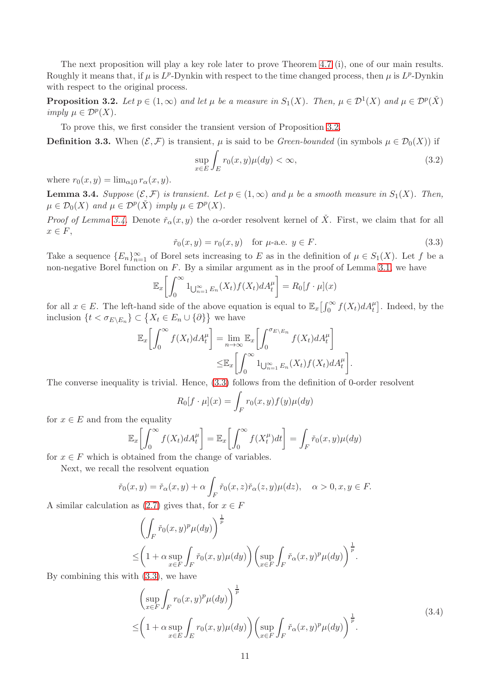The next proposition will play a key role later to prove Theorem [4.7](#page-15-0) (i), one of our main results. Roughly it means that, if  $\mu$  is  $L^p$ -Dynkin with respect to the time changed process, then  $\mu$  is  $L^p$ -Dynkin with respect to the original process.

<span id="page-10-0"></span>**Proposition 3.2.** Let  $p \in (1,\infty)$  and let  $\mu$  be a measure in  $S_1(X)$ . Then,  $\mu \in \mathcal{D}^1(X)$  and  $\mu \in \mathcal{D}^p(X)$ imply  $\mu \in \mathcal{D}^p(X)$ .

To prove this, we first consider the transient version of Proposition [3.2.](#page-10-0)

**Definition 3.3.** When  $(\mathcal{E}, \mathcal{F})$  is transient,  $\mu$  is said to be *Green-bounded* (in symbols  $\mu \in \mathcal{D}_0(X)$ ) if

$$
\sup_{x \in E} \int_{E} r_0(x, y) \mu(dy) < \infty,\tag{3.2}
$$

where  $r_0(x, y) = \lim_{\alpha \to 0} r_\alpha(x, y)$ .

<span id="page-10-1"></span>**Lemma 3.4.** Suppose  $(\mathcal{E}, \mathcal{F})$  is transient. Let  $p \in (1, \infty)$  and  $\mu$  be a smooth measure in  $S_1(X)$ . Then,  $\mu \in \mathcal{D}_0(X)$  and  $\mu \in \mathcal{D}^p(\check{X})$  imply  $\mu \in \mathcal{D}^p(X)$ .

*Proof of Lemma [3.4.](#page-10-1)* Denote  $\check{r}_{\alpha}(x, y)$  the  $\alpha$ -order resolvent kernel of  $\check{X}$ . First, we claim that for all  $x \in F$ ,

<span id="page-10-2"></span>
$$
\check{r}_0(x, y) = r_0(x, y)
$$
 for  $\mu$ -a.e.  $y \in F$ . (3.3)

<span id="page-10-3"></span>.

Take a sequence  ${E_n}_{n=1}^{\infty}$  of Borel sets increasing to E as in the definition of  $\mu \in S_1(X)$ . Let f be a non-negative Borel function on F. By a similar argument as in the proof of Lemma [3.1,](#page-9-1) we have

$$
\mathbb{E}_x \bigg[ \int_0^\infty 1_{\bigcup_{n=1}^\infty E_n}(X_t) f(X_t) dA_t^\mu \bigg] = R_0[f \cdot \mu](x)
$$

for all  $x \in E$ . The left-hand side of the above equation is equal to  $\mathbb{E}_x \left[ \int_0^\infty f(X_t) dA_t^\mu \right]$ . Indeed, by the inclusion  $\{t < \sigma_{E \setminus E_n}\} \subset \{X_t \in E_n \cup \{\partial\}\}\$ we have

$$
\mathbb{E}_x \bigg[ \int_0^\infty f(X_t) dA_t^\mu \bigg] = \lim_{n \to \infty} \mathbb{E}_x \bigg[ \int_0^{\sigma_{E \setminus E_n}} f(X_t) dA_t^\mu \bigg] \leq \mathbb{E}_x \bigg[ \int_0^\infty \mathbf{1}_{\bigcup_{n=1}^\infty E_n} (X_t) f(X_t) dA_t^\mu \bigg]
$$

The converse inequality is trivial. Hence, [\(3.3\)](#page-10-2) follows from the definition of 0-order resolvent

$$
R_0[f \cdot \mu](x) = \int_F r_0(x, y) f(y) \mu(dy)
$$

for  $x \in E$  and from the equality

$$
\mathbb{E}_x \bigg[ \int_0^\infty f(X_t) dA_t^\mu \bigg] = \mathbb{E}_x \bigg[ \int_0^\infty f(X_t^\mu) dt \bigg] = \int_F \check{r}_0(x, y) \mu(dy)
$$

for  $x \in F$  which is obtained from the change of variables.

Next, we recall the resolvent equation

$$
\check{r}_0(x,y) = \check{r}_\alpha(x,y) + \alpha \int_F \check{r}_0(x,z)\check{r}_\alpha(z,y)\mu(dz), \quad \alpha > 0, x, y \in F.
$$

A similar calculation as  $(2.7)$  gives that, for  $x \in F$ 

$$
\left(\int_{F} \check{r}_{0}(x,y)^{p} \mu(dy)\right)^{\frac{1}{p}}\leq \left(1+\alpha \sup_{x \in F} \int_{F} \check{r}_{0}(x,y) \mu(dy)\right) \left(\sup_{x \in F} \int_{F} \check{r}_{\alpha}(x,y)^{p} \mu(dy)\right)^{\frac{1}{p}}.
$$
\n\n(b) (3.2) we have

By combining this with [\(3.3\)](#page-10-2), we have

$$
\left(\sup_{x \in F} \int_{F} r_0(x, y)^p \mu(dy)\right)^{\frac{1}{p}}\n\leq \left(1 + \alpha \sup_{x \in E} \int_{E} r_0(x, y) \mu(dy)\right) \left(\sup_{x \in F} \int_{F} \check{r}_\alpha(x, y)^p \mu(dy)\right)^{\frac{1}{p}}.
$$
\n(3.4)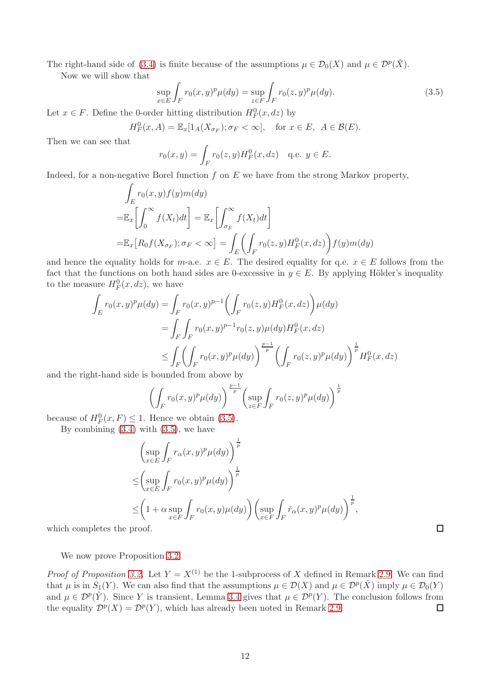The right-hand side of [\(3.4\)](#page-10-3) is finite because of the assumptions  $\mu \in \mathcal{D}_0(X)$  and  $\mu \in \mathcal{D}^p(\check{X})$ .

Now we will show that

<span id="page-11-0"></span>
$$
\sup_{x \in E} \int_{F} r_0(x, y)^p \mu(dy) = \sup_{z \in F} \int_{F} r_0(z, y)^p \mu(dy).
$$
 (3.5)

Let  $x \in F$ . Define the 0-order hitting distribution  $H_F^0(x, dz)$  by

 $H_F^0(x, A) = \mathbb{E}_x[1_A(X_{\sigma_F}); \sigma_F < \infty], \text{ for } x \in E, A \in \mathcal{B}(E).$ 

Then we can see that

$$
r_0(x, y) = \int_F r_0(z, y) H_F^0(x, dz)
$$
 q.e.  $y \in E$ .

Indeed, for a non-negative Borel function  $f$  on  $E$  we have from the strong Markov property,

$$
\int_{E} r_0(x, y) f(y) m(dy)
$$
\n
$$
= \mathbb{E}_x \left[ \int_0^\infty f(X_t) dt \right] = \mathbb{E}_x \left[ \int_{\sigma_F}^\infty f(X_t) dt \right]
$$
\n
$$
= \mathbb{E}_x \left[ R_0 f(X_{\sigma_F}); \sigma_F < \infty \right] = \int_{E} \left( \int_{F} r_0(z, y) H_F^0(x, dz) \right) f(y) m(dy)
$$

and hence the equality holds for m-a.e.  $x \in E$ . The desired equality for q.e.  $x \in E$  follows from the fact that the functions on both hand sides are 0-excessive in  $y \in E$ . By applying Hölder's inequality to the measure  $H_F^0(x, dz)$ , we have

$$
\int_{E} r_{0}(x, y)^{p} \mu(dy) = \int_{F} r_{0}(x, y)^{p-1} \left( \int_{F} r_{0}(z, y) H_{F}^{0}(x, dz) \right) \mu(dy)
$$
\n
$$
= \int_{F} \int_{F} r_{0}(x, y)^{p-1} r_{0}(z, y) \mu(dy) H_{F}^{0}(x, dz)
$$
\n
$$
\leq \int_{F} \left( \int_{F} r_{0}(x, y)^{p} \mu(dy) \right)^{\frac{p-1}{p}} \left( \int_{F} r_{0}(z, y)^{p} \mu(dy) \right)^{\frac{1}{p}} H_{F}^{0}(x, dz)
$$

and the right-hand side is bounded from above by

$$
\left(\int_{F} r_0(x,y)^p \mu(dy)\right)^{\frac{p-1}{p}} \left(\sup_{z \in F} \int_{F} r_0(z,y)^p \mu(dy)\right)^{\frac{1}{p}}
$$
  
Hence we obtain (2.5)

because of  $H_F^0(x, F) \leq 1$ . Hence we obtain [\(3.5\)](#page-11-0).

By combining  $(3.4)$  with  $(3.5)$ , we have

$$
\left(\sup_{x\in E} \int_{F} r_{\alpha}(x, y)^{p} \mu(dy)\right)^{\frac{1}{p}} \n\leq \left(\sup_{x\in E} \int_{F} r_{0}(x, y)^{p} \mu(dy)\right)^{\frac{1}{p}} \n\leq \left(1 + \alpha \sup_{x\in F} \int_{F} r_{0}(x, y) \mu(dy)\right) \left(\sup_{x\in F} \int_{F} \check{r}_{\alpha}(x, y)^{p} \mu(dy)\right)^{\frac{1}{p}},
$$

which completes the proof.

We now prove Proposition [3.2.](#page-10-0)

*Proof of Proposition [3.2.](#page-10-0)* Let  $Y = X^{(1)}$  be the 1-subprocess of X defined in Remark [2.9.](#page-7-3) We can find that  $\mu$  is in  $S_1(Y)$ . We can also find that the assumptions  $\mu \in \mathcal{D}(X)$  and  $\mu \in \mathcal{D}^p(\check{X})$  imply  $\mu \in \mathcal{D}_0(Y)$ and  $\mu \in \mathcal{D}^p(\check{Y})$ . Since Y is transient, Lemma [3.4](#page-10-1) gives that  $\mu \in \mathcal{D}^p(Y)$ . The conclusion follows from the equality  $\mathcal{D}^p(X) = \mathcal{D}^p(Y)$ , which has already been noted in Remark [2.9.](#page-7-3)  $\Box$ 

 $\Box$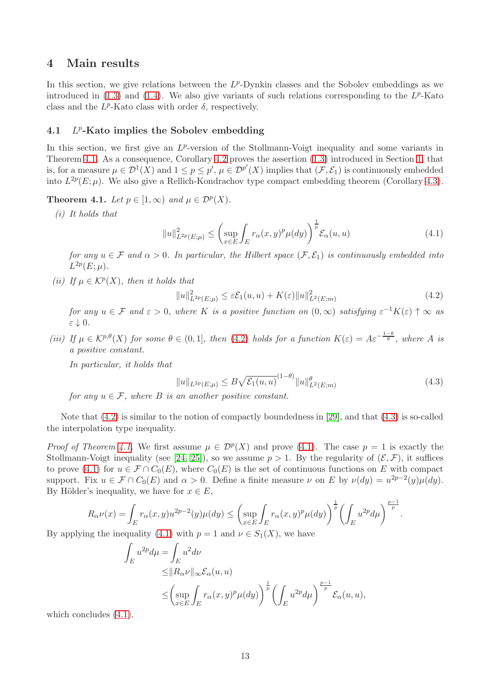## 4 Main results

In this section, we give relations between the  $L^p$ -Dynkin classes and the Sobolev embeddings as we introduced in  $(1.3)$  and  $(1.4)$ . We also give variants of such relations corresponding to the  $L^p$ -Kato class and the  $L^p$ -Kato class with order  $\delta$ , respectively.

#### <span id="page-12-0"></span>4.1 L <sup>p</sup>-Kato implies the Sobolev embedding

In this section, we first give an  $L^p$ -version of the Stollmann-Voigt inequality and some variants in Theorem [4.1.](#page-12-1) As a consequence, Corollary [4.2](#page-13-0) proves the assertion [\(1.3\)](#page-1-0) introduced in Section [1,](#page-0-2) that is, for a measure  $\mu \in \mathcal{D}^1(X)$  and  $1 \leq p \leq p'$ ,  $\mu \in \mathcal{D}^{p'}(X)$  implies that  $(\mathcal{F}, \mathcal{E}_1)$  is continuously embedded into  $L^{2p}(E;\mu)$ . We also give a Rellich-Kondrachov type compact embedding theorem (Corollary [4.3\)](#page-13-1).

<span id="page-12-1"></span>**Theorem 4.1.** Let  $p \in [1,\infty)$  and  $\mu \in \mathcal{D}^p(X)$ .

(i) It holds that

<span id="page-12-4"></span>
$$
||u||_{L^{2p}(E;\mu)}^2 \le \left(\sup_{x \in E} \int_E r_\alpha(x,y)^p \mu(dy)\right)^{\frac{1}{p}} \mathcal{E}_\alpha(u,u) \tag{4.1}
$$

for any  $u \in \mathcal{F}$  and  $\alpha > 0$ . In particular, the Hilbert space  $(\mathcal{F}, \mathcal{E}_1)$  is continuously embedded into  $L^{2p}(E;\mu).$ 

(ii) If  $\mu \in \mathcal{K}^p(X)$ , then it holds that

<span id="page-12-2"></span>
$$
||u||_{L^{2p}(E;\mu)}^{2} \leq \varepsilon \mathcal{E}_{1}(u,u) + K(\varepsilon)||u||_{L^{2}(E;m)}^{2}
$$
\n(4.2)

for any  $u \in \mathcal{F}$  and  $\varepsilon > 0$ , where K is a positive function on  $(0, \infty)$  satisfying  $\varepsilon^{-1}K(\varepsilon) \uparrow \infty$  as ε ↓ 0.

(iii) If  $\mu \in \mathcal{K}^{p,\theta}(X)$  for some  $\theta \in (0,1]$ , then [\(4.2\)](#page-12-2) holds for a function  $K(\varepsilon) = A \varepsilon^{-\frac{1-\theta}{\theta}}$ , where A is a positive constant.

In particular, it holds that

<span id="page-12-3"></span>
$$
||u||_{L^{2p}(E;\mu)} \le B\sqrt{\mathcal{E}_1(u,u)}^{(1-\theta)}||u||_{L^2(E;m)}^{\theta}
$$
\n(4.3)

for any  $u \in \mathcal{F}$ , where B is an another positive constant.

Note that  $(4.2)$  is similar to the notion of compactly boundedness in [\[29\]](#page-21-11), and that  $(4.3)$  is so-called the interpolation type inequality.

*Proof of Theorem [4.1.](#page-12-1)* We first assume  $\mu \in \mathcal{D}^p(X)$  and prove [\(4.1\)](#page-12-4). The case  $p = 1$  is exactly the Stollmann-Voigt inequality (see [\[24,](#page-21-3) [25\]](#page-21-2)), so we assume  $p > 1$ . By the regularity of  $(\mathcal{E}, \mathcal{F})$ , it suffices to prove [\(4.1\)](#page-12-4) for  $u \in \mathcal{F} \cap C_0(E)$ , where  $C_0(E)$  is the set of continuous functions on E with compact support. Fix  $u \in \mathcal{F} \cap C_0(E)$  and  $\alpha > 0$ . Define a finite measure  $\nu$  on E by  $\nu(dy) = u^{2p-2}(y)\mu(dy)$ . By Hölder's inequality, we have for  $x \in E$ ,

$$
R_{\alpha}\nu(x) = \int_{E} r_{\alpha}(x, y)u^{2p-2}(y)\mu(dy) \le \left(\sup_{x \in E} \int_{E} r_{\alpha}(x, y)^{p}\mu(dy)\right)^{\frac{1}{p}} \left(\int_{E} u^{2p} d\mu\right)^{\frac{p-1}{p}}.
$$

By applying the inequality [\(4.1\)](#page-12-4) with  $p = 1$  and  $\nu \in S_1(X)$ , we have

$$
\int_{E} u^{2p} d\mu = \int_{E} u^{2} d\nu
$$
\n
$$
\leq ||R_{\alpha} \nu||_{\infty} \mathcal{E}_{\alpha}(u, u)
$$
\n
$$
\leq \left(\sup_{x \in E} \int_{E} r_{\alpha}(x, y)^{p} \mu(dy)\right)^{\frac{1}{p}} \left(\int_{E} u^{2p} d\mu\right)^{\frac{p-1}{p}} \mathcal{E}_{\alpha}(u, u),
$$

which concludes  $(4.1)$ .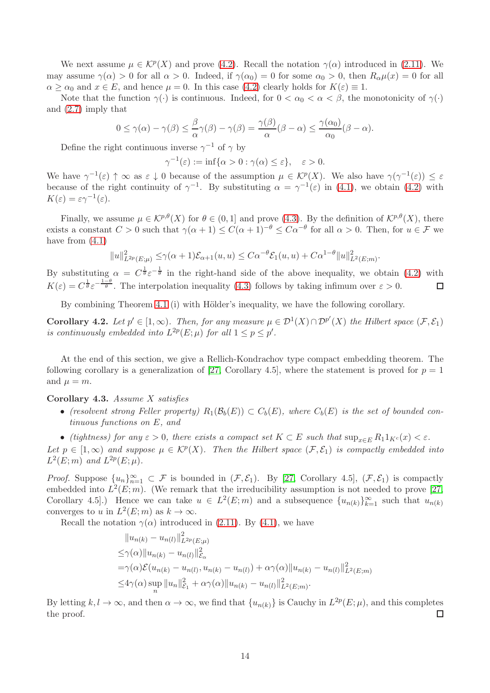We next assume  $\mu \in \mathcal{K}^p(X)$  and prove [\(4.2\)](#page-12-2). Recall the notation  $\gamma(\alpha)$  introduced in [\(2.11\)](#page-7-4). We may assume  $\gamma(\alpha) > 0$  for all  $\alpha > 0$ . Indeed, if  $\gamma(\alpha_0) = 0$  for some  $\alpha_0 > 0$ , then  $R_{\alpha}\mu(x) = 0$  for all  $\alpha > \alpha_0$  and  $x \in E$ , and hence  $\mu = 0$ . In this case [\(4.2\)](#page-12-2) clearly holds for  $K(\varepsilon) \equiv 1$ .

Note that the function  $\gamma(\cdot)$  is continuous. Indeed, for  $0 < \alpha_0 < \alpha < \beta$ , the monotonicity of  $\gamma(\cdot)$ and [\(2.7\)](#page-6-2) imply that

$$
0 \le \gamma(\alpha) - \gamma(\beta) \le \frac{\beta}{\alpha}\gamma(\beta) - \gamma(\beta) = \frac{\gamma(\beta)}{\alpha}(\beta - \alpha) \le \frac{\gamma(\alpha_0)}{\alpha_0}(\beta - \alpha).
$$

Define the right continuous inverse  $\gamma^{-1}$  of  $\gamma$  by

$$
\gamma^{-1}(\varepsilon) := \inf\{\alpha > 0 : \gamma(\alpha) \le \varepsilon\}, \quad \varepsilon > 0.
$$

We have  $\gamma^{-1}(\varepsilon) \uparrow \infty$  as  $\varepsilon \downarrow 0$  because of the assumption  $\mu \in \mathcal{K}^p(X)$ . We also have  $\gamma(\gamma^{-1}(\varepsilon)) \leq \varepsilon$ because of the right continuity of  $\gamma^{-1}$ . By substituting  $\alpha = \gamma^{-1}(\varepsilon)$  in [\(4.1\)](#page-12-4), we obtain [\(4.2\)](#page-12-2) with  $K(\varepsilon) = \varepsilon \gamma^{-1}(\varepsilon).$ 

Finally, we assume  $\mu \in \mathcal{K}^{p,\theta}(X)$  for  $\theta \in (0,1]$  and prove [\(4.3\)](#page-12-3). By the definition of  $\mathcal{K}^{p,\theta}(X)$ , there exists a constant  $C > 0$  such that  $\gamma(\alpha + 1) \leq C(\alpha + 1)^{-\theta} \leq C\alpha^{-\theta}$  for all  $\alpha > 0$ . Then, for  $u \in \mathcal{F}$  we have from  $(4.1)$ 

$$
||u||_{L^{2p}(E;\mu)}^{2} \leq \gamma(\alpha+1)\mathcal{E}_{\alpha+1}(u,u) \leq C\alpha^{-\theta}\mathcal{E}_{1}(u,u) + C\alpha^{1-\theta}||u||_{L^{2}(E;m)}^{2}.
$$

By substituting  $\alpha = C^{\frac{1}{\theta}} \varepsilon^{-\frac{1}{\theta}}$  in the right-hand side of the above inequality, we obtain [\(4.2\)](#page-12-2) with  $K(\varepsilon) = C^{\frac{1}{\theta}} \varepsilon^{-\frac{1-\theta}{\theta}}$ . The interpolation inequality [\(4.3\)](#page-12-3) follows by taking infimum over  $\varepsilon > 0$ .  $\Box$ 

By combining Theorem [4.1](#page-12-1) (i) with Hölder's inequality, we have the following corollary.

<span id="page-13-0"></span>**Corollary 4.2.** Let  $p' \in [1,\infty)$ . Then, for any measure  $\mu \in \mathcal{D}^1(X) \cap \mathcal{D}^{p'}(X)$  the Hilbert space  $(\mathcal{F}, \mathcal{E}_1)$ is continuously embedded into  $L^{2p}(E;\mu)$  for all  $1 \leq p \leq p'$ .

At the end of this section, we give a Rellich-Kondrachov type compact embedding theorem. The following corollary is a generalization of [\[27,](#page-21-12) Corollary 4.5], where the statement is proved for  $p = 1$ and  $\mu = m$ .

### <span id="page-13-1"></span>Corollary 4.3. Assume X satisfies

• (resolvent strong Feller property)  $R_1(\mathcal{B}_b(E)) \subset C_b(E)$ , where  $C_b(E)$  is the set of bounded continuous functions on E, and

• (tightness) for any  $\varepsilon > 0$ , there exists a compact set  $K \subset E$  such that  $\sup_{x \in E} R_1 1_{K^c}(x) < \varepsilon$ .

Let  $p \in [1,\infty)$  and suppose  $\mu \in \mathcal{K}^p(X)$ . Then the Hilbert space  $(\mathcal{F}, \mathcal{E}_1)$  is compactly embedded into  $L^2(E; m)$  and  $L^{2p}(E; \mu)$ .

*Proof.* Suppose  $\{u_n\}_{n=1}^{\infty} \subset \mathcal{F}$  is bounded in  $(\mathcal{F}, \mathcal{E}_1)$ . By [\[27,](#page-21-12) Corollary 4.5],  $(\mathcal{F}, \mathcal{E}_1)$  is compactly embedded into  $L^2(E; m)$ . (We remark that the irreducibility assumption is not needed to prove [\[27,](#page-21-12) Corollary 4.5. Hence we can take  $u \in L^2(E;m)$  and a subsequence  $\{u_{n(k)}\}_{k=1}^{\infty}$  such that  $u_{n(k)}$ converges to u in  $L^2(E; m)$  as  $k \to \infty$ .

Recall the notation  $\gamma(\alpha)$  introduced in [\(2.11\)](#page-7-4). By [\(4.1\)](#page-12-4), we have

$$
||u_{n(k)} - u_{n(l)}||_{L^{2p}(E;\mu)}^{2}
$$
  
\n
$$
\leq \gamma(\alpha) ||u_{n(k)} - u_{n(l)}||_{\mathcal{E}_{\alpha}}^{2}
$$
  
\n
$$
= \gamma(\alpha) \mathcal{E}(u_{n(k)} - u_{n(l)}, u_{n(k)} - u_{n(l)}) + \alpha \gamma(\alpha) ||u_{n(k)} - u_{n(l)}||_{L^{2}(E;m)}^{2}
$$
  
\n
$$
\leq 4\gamma(\alpha) \sup_{n} ||u_{n}||_{\mathcal{E}_{1}}^{2} + \alpha \gamma(\alpha) ||u_{n(k)} - u_{n(l)}||_{L^{2}(E;m)}^{2}.
$$

By letting  $k, l \to \infty$ , and then  $\alpha \to \infty$ , we find that  $\{u_{n(k)}\}$  is Cauchy in  $L^{2p}(E;\mu)$ , and this completes the proof.  $\Box$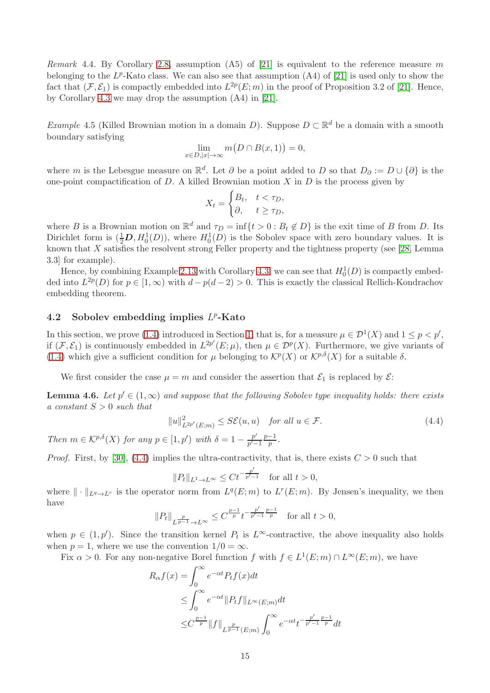Remark 4.4. By Corollary [2.8,](#page-7-2) assumption (A5) of [\[21\]](#page-21-10) is equivalent to the reference measure m belonging to the  $L^p$ -Kato class. We can also see that assumption  $(A4)$  of  $[21]$  is used only to show the fact that  $(\mathcal{F}, \mathcal{E}_1)$  is compactly embedded into  $L^{2p}(E; m)$  in the proof of Proposition 3.2 of [\[21\]](#page-21-10). Hence, by Corollary [4.3](#page-13-1) we may drop the assumption (A4) in [\[21\]](#page-21-10).

Example 4.5 (Killed Brownian motion in a domain D). Suppose  $D \subset \mathbb{R}^d$  be a domain with a smooth boundary satisfying

$$
\lim_{x \in D, |x| \to \infty} m(D \cap B(x, 1)) = 0,
$$

where m is the Lebesgue measure on  $\mathbb{R}^d$ . Let  $\partial$  be a point added to D so that  $D_{\partial} := D \cup \{\partial\}$  is the one-point compactification of  $D$ . A killed Brownian motion  $X$  in  $D$  is the process given by

$$
X_t = \begin{cases} B_t, & t < \tau_D, \\ \partial, & t \ge \tau_D, \end{cases}
$$

where B is a Brownian motion on  $\mathbb{R}^d$  and  $\tau_D = \inf\{t > 0 : B_t \notin D\}$  is the exit time of B from D. Its Dirichlet form is  $(\frac{1}{2}D, H_0^1(D))$ , where  $H_0^1(D)$  is the Sobolev space with zero boundary values. It is known that  $X$  satisfies the resolvent strong Feller property and the tightness property (see [\[28,](#page-21-13) Lemma 3.3] for example).

Hence, by combining Example [2.13](#page-8-4) with Corollary [4.3,](#page-13-1) we can see that  $H_0^1(D)$  is compactly embedded into  $L^{2p}(D)$  for  $p \in [1,\infty)$  with  $d-p(d-2) > 0$ . This is exactly the classical Rellich-Kondrachov embedding theorem.

## <span id="page-14-0"></span>4.2 Sobolev embedding implies  $L^p$ -Kato

In this section, we prove [\(1.4\)](#page-1-1) introduced in Section [1,](#page-0-2) that is, for a measure  $\mu \in \mathcal{D}^1(X)$  and  $1 \leq p < p'$ , if  $(\mathcal{F}, \mathcal{E}_1)$  is continuously embedded in  $L^{2p'}(E; \mu)$ , then  $\mu \in \mathcal{D}^p(X)$ . Furthermore, we give variants of [\(1.4\)](#page-1-1) which give a sufficient condition for  $\mu$  belonging to  $\mathcal{K}^p(X)$  or  $\mathcal{K}^{p,\delta}(X)$  for a suitable  $\delta$ .

We first consider the case  $\mu = m$  and consider the assertion that  $\mathcal{E}_1$  is replaced by  $\mathcal{E}$ :

<span id="page-14-1"></span>**Lemma 4.6.** Let  $p' \in (1,\infty)$  and suppose that the following Sobolev type inequality holds: there exists a constant  $S > 0$  such that

<span id="page-14-2"></span>
$$
||u||_{L^{2p'}(E;m)}^2 \le S\mathcal{E}(u,u) \quad \text{for all } u \in \mathcal{F}.
$$
 (4.4)

Then  $m \in \mathcal{K}^{p,\delta}(X)$  for any  $p \in [1,p')$  with  $\delta = 1 - \frac{p'}{n'}$  $\frac{p'}{p'-1}\frac{p-1}{p}$  $\frac{-1}{p}$ .

*Proof.* First, by [\[30\]](#page-21-1), [\(4.4\)](#page-14-2) implies the ultra-contractivity, that is, there exists  $C > 0$  such that

$$
||P_t||_{L^1 \to L^\infty} \le Ct^{-\frac{p'}{p'-1}} \quad \text{for all } t > 0,
$$

where  $\|\cdot\|_{L^q\to L^r}$  is the operator norm from  $L^q(E; m)$  to  $L^r(E; m)$ . By Jensen's inequality, we then have

$$
\|P_t\|_{L^{\frac{p}{p-1}}\rightarrow L^\infty}\leq C^{\frac{p-1}{p}}t^{-\frac{p'}{p'-1}\frac{p-1}{p}}\quad\text{for all }t>0,
$$

when  $p \in (1, p')$ . Since the transition kernel  $P_t$  is  $L^{\infty}$ -contractive, the above inequality also holds when  $p = 1$ , where we use the convention  $1/0 = \infty$ .

Fix  $\alpha > 0$ . For any non-negative Borel function f with  $f \in L^1(E; m) \cap L^{\infty}(E; m)$ , we have

$$
R_{\alpha}f(x) = \int_0^{\infty} e^{-\alpha t} P_t f(x) dt
$$
  
\n
$$
\leq \int_0^{\infty} e^{-\alpha t} ||P_t f||_{L^{\infty}(E; m)} dt
$$
  
\n
$$
\leq C^{\frac{p-1}{p}} ||f||_{L^{\frac{p}{p-1}}(E; m)} \int_0^{\infty} e^{-\alpha t} t^{-\frac{p'}{p'-1} \frac{p-1}{p}} dt
$$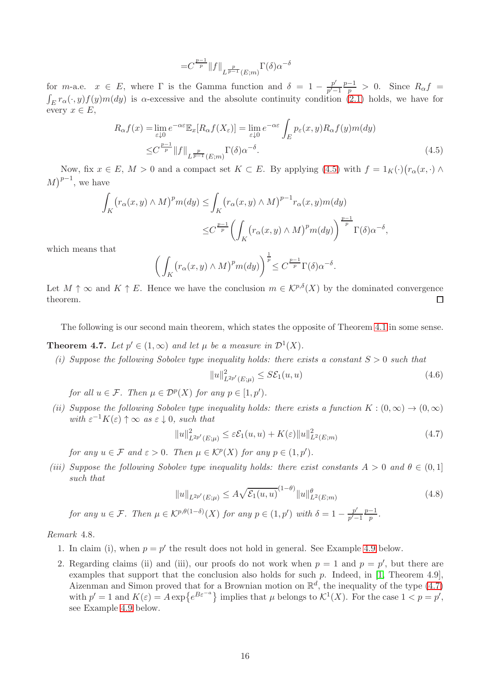<span id="page-15-1"></span>
$$
= \! C^{\frac{p-1}{p}} \|f\|_{L^{\frac{p}{p-1}}(E;m)} \Gamma(\delta) \alpha^{-\delta}
$$

for m-a.e.  $x \in E$ , where  $\Gamma$  is the Gamma function and  $\delta = 1 - \frac{p'}{n'}$  $\frac{p'}{p'-1}\frac{p-1}{p} > 0$ . Since  $R_{\alpha}f =$  $\int_E r_\alpha(\cdot, y) f(y) m(dy)$  is  $\alpha$ -excessive and the absolute continuity condition [\(2.1\)](#page-2-1) holds, we have for every  $x \in E$ ,

$$
R_{\alpha}f(x) = \lim_{\varepsilon \downarrow 0} e^{-\alpha \varepsilon} \mathbb{E}_x[R_{\alpha}f(X_{\varepsilon})] = \lim_{\varepsilon \downarrow 0} e^{-\alpha \varepsilon} \int_E p_{\varepsilon}(x, y) R_{\alpha}f(y) m(dy)
$$
  

$$
\leq C^{\frac{p-1}{p}} ||f||_{L^{\frac{p}{p-1}}(E; m)} \Gamma(\delta) \alpha^{-\delta}.
$$
 (4.5)

Now, fix  $x \in E$ ,  $M > 0$  and a compact set  $K \subset E$ . By applying [\(4.5\)](#page-15-1) with  $f = 1_K(\cdot)(r_\alpha(x, \cdot) \wedge$  $(M)^{p-1}$ , we have

$$
\int_{K} (r_{\alpha}(x, y) \wedge M)^{p} m(dy) \leq \int_{K} (r_{\alpha}(x, y) \wedge M)^{p-1} r_{\alpha}(x, y) m(dy)
$$
\n
$$
\leq C^{\frac{p-1}{p}} \left( \int_{K} (r_{\alpha}(x, y) \wedge M)^{p} m(dy) \right)^{\frac{p-1}{p}} \Gamma(\delta) \alpha^{-\delta},
$$
\nthat

which means that

$$
\left(\int_{K} \left(r_{\alpha}(x, y) \wedge M\right)^{p} m(dy)\right)^{\frac{1}{p}} \leq C^{\frac{p-1}{p}} \Gamma(\delta) \alpha^{-\delta}.
$$

Let  $M \uparrow \infty$  and  $K \uparrow E$ . Hence we have the conclusion  $m \in \mathcal{K}^{p,\delta}(X)$  by the dominated convergence theorem.  $\Box$ 

The following is our second main theorem, which states the opposite of Theorem [4.1](#page-12-1) in some sense.

<span id="page-15-0"></span>**Theorem 4.7.** Let  $p' \in (1,\infty)$  and let  $\mu$  be a measure in  $\mathcal{D}^1(X)$ .

(i) Suppose the following Sobolev type inequality holds: there exists a constant  $S > 0$  such that

<span id="page-15-3"></span>
$$
||u||_{L^{2p'}(E;\mu)}^2 \le S\mathcal{E}_1(u,u) \tag{4.6}
$$

for all  $u \in \mathcal{F}$ . Then  $\mu \in \mathcal{D}^p(X)$  for any  $p \in [1, p')$ .

(ii) Suppose the following Sobolev type inequality holds: there exists a function  $K : (0, \infty) \to (0, \infty)$ with  $\varepsilon^{-1}K(\varepsilon) \uparrow \infty$  as  $\varepsilon \downarrow 0$ , such that

<span id="page-15-2"></span>
$$
||u||_{L^{2p'}(E;\mu)}^2 \leq \varepsilon \mathcal{E}_1(u,u) + K(\varepsilon) ||u||_{L^2(E;m)}^2
$$
\n(4.7)

for any  $u \in \mathcal{F}$  and  $\varepsilon > 0$ . Then  $\mu \in \mathcal{K}^p(X)$  for any  $p \in (1, p')$ .

(iii) Suppose the following Sobolev type inequality holds: there exist constants  $A > 0$  and  $\theta \in (0,1]$ such that

<span id="page-15-4"></span>
$$
||u||_{L^{2p'}(E;\mu)} \le A\sqrt{\mathcal{E}_1(u,u)}^{(1-\theta)}||u||_{L^2(E;m)}^{\theta}
$$
\n(4.8)

for any  $u \in \mathcal{F}$ . Then  $\mu \in \mathcal{K}^{p,\theta(1-\delta)}(X)$  for any  $p \in (1,p')$  with  $\delta = 1 - \frac{p'}{n'}$ .  $\frac{p'}{p'-1}\frac{p-1}{p}$  $\frac{-1}{p}$ .

<span id="page-15-5"></span>Remark 4.8.

- 1. In claim (i), when  $p = p'$  the result does not hold in general. See Example [4.9](#page-17-0) below.
- 2. Regarding claims (ii) and (iii), our proofs do not work when  $p = 1$  and  $p = p'$ , but there are examples that support that the conclusion also holds for such p. Indeed, in [\[1,](#page-20-4) Theorem 4.9], Aizenman and Simon proved that for a Brownian motion on  $\mathbb{R}^d$ , the inequality of the type [\(4.7\)](#page-15-2) with  $p' = 1$  and  $K(\varepsilon) = A \exp\{e^{B \varepsilon^{-a}}\}\$ implies that  $\mu$  belongs to  $\mathcal{K}^1(X)$ . For the case  $1 < p = p'$ , see Example [4.9](#page-17-0) below.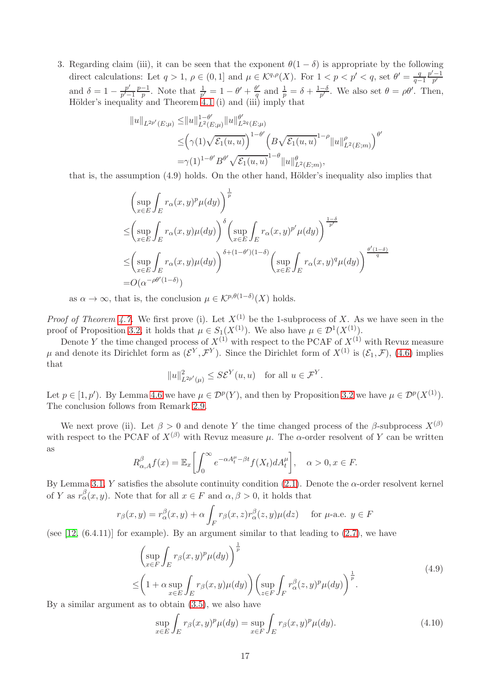3. Regarding claim (iii), it can be seen that the exponent  $\theta(1-\delta)$  is appropriate by the following direct calculations: Let  $q > 1$ ,  $\rho \in (0, 1]$  and  $\mu \in \mathcal{K}^{q, \rho}(X)$ . For  $1 < p < p' < q$ , set  $\theta' = \frac{q}{q-1}$  $q-1$  $p'-1$  $p^{\prime}$ and  $\delta = 1 - \frac{p'}{n'}$  $\frac{p'}{p'-1}\frac{p-1}{p}$  $\frac{-1}{p}$ . Note that  $\frac{1}{p'} = 1 - \theta' + \frac{\theta'}{q}$  $\frac{\partial}{q}$  and  $\frac{1}{p} = \delta + \frac{1-\delta}{p'}$  $\frac{-\delta}{p'}$ . We also set  $\theta = \rho \theta'$ . Then, Hölder's inequality and Theorem [4.1](#page-12-1) (i) and (iii) imply that

$$
||u||_{L^{2p'}(E;\mu)} \leq ||u||_{L^{2}(E;\mu)}^{1-\theta'} ||u||_{L^{2q}(E;\mu)}^{\theta'}\leq \left(\gamma(1)\sqrt{\mathcal{E}_{1}(u,u)}\right)^{1-\theta'} \left(B\sqrt{\mathcal{E}_{1}(u,u)}^{1-\rho}||u||_{L^{2}(E;m)}^{\rho}\right)^{\theta}=\gamma(1)^{1-\theta'}B^{\theta'}\sqrt{\mathcal{E}_{1}(u,u)}^{1-\theta}||u||_{L^{2}(E;m)}^{\theta'},
$$

′

that is, the assumption  $(4.9)$  holds. On the other hand, Hölder's inequality also implies that

$$
\left(\sup_{x\in E}\int_{E}r_{\alpha}(x,y)^{p}\mu(dy)\right)^{\frac{1}{p}}\n\leq \left(\sup_{x\in E}\int_{E}r_{\alpha}(x,y)\mu(dy)\right)^{\delta}\left(\sup_{x\in E}\int_{E}r_{\alpha}(x,y)^{p'}\mu(dy)\right)^{\frac{1-\delta}{p'}}\n\leq \left(\sup_{x\in E}\int_{E}r_{\alpha}(x,y)\mu(dy)\right)^{\delta+(1-\theta')(1-\delta)}\left(\sup_{x\in E}\int_{E}r_{\alpha}(x,y)^{q}\mu(dy)\right)^{\frac{\theta'(1-\delta)}{q}}
$$
\n=O(\alpha^{-\rho\theta'(1-\delta)})

as  $\alpha \to \infty$ , that is, the conclusion  $\mu \in \mathcal{K}^{p,\theta(1-\delta)}(X)$  holds.

*Proof of Theorem [4.7.](#page-15-0)* We first prove (i). Let  $X^{(1)}$  be the 1-subprocess of X. As we have seen in the proof of Proposition [3.2,](#page-10-0) it holds that  $\mu \in S_1(X^{(1)})$ . We also have  $\mu \in \mathcal{D}^1(X^{(1)})$ .

Denote Y the time changed process of  $X^{(1)}$  with respect to the PCAF of  $X^{(1)}$  with Revuz measure  $\mu$  and denote its Dirichlet form as  $(\mathcal{E}^Y, \mathcal{F}^Y)$ . Since the Dirichlet form of  $X^{(1)}$  is  $(\mathcal{E}_1, \mathcal{F})$ , [\(4.6\)](#page-15-3) implies that

$$
||u||_{L^{2p'}(\mu)}^2 \leq S\mathcal{E}^Y(u,u) \quad \text{for all } u \in \mathcal{F}^Y.
$$

Let  $p \in [1, p')$ . By Lemma [4.6](#page-14-1) we have  $\mu \in \mathcal{D}^p(Y)$ , and then by Proposition [3.2](#page-10-0) we have  $\mu \in \mathcal{D}^p(X^{(1)})$ . The conclusion follows from Remark [2.9.](#page-7-3)

We next prove (ii). Let  $\beta > 0$  and denote Y the time changed process of the  $\beta$ -subprocess  $X^{(\beta)}$ with respect to the PCAF of  $X^{(\beta)}$  with Revuz measure u. The  $\alpha$ -order resolvent of Y can be written as

$$
R_{\alpha,A}^{\beta}f(x) = \mathbb{E}_x \bigg[ \int_0^{\infty} e^{-\alpha A_t^{\mu} - \beta t} f(X_t) dA_t^{\mu} \bigg], \quad \alpha > 0, x \in F.
$$

By Lemma [3.1,](#page-9-1) Y satisfies the absolute continuity condition [\(2.1\)](#page-2-1). Denote the  $\alpha$ -order resolvent kernel of Y as  $r_{\alpha}^{\beta}(x, y)$ . Note that for all  $x \in F$  and  $\alpha, \beta > 0$ , it holds that

$$
r_{\beta}(x,y) = r_{\alpha}^{\beta}(x,y) + \alpha \int_{F} r_{\beta}(x,z)r_{\alpha}^{\beta}(z,y)\mu(dz) \quad \text{ for } \mu\text{-a.e. } y \in F
$$

(see  $[12, (6.4.11)]$  for example). By an argument similar to that leading to  $(2.7)$ , we have

$$
\left(\sup_{x \in F} \int_{E} r_{\beta}(x, y)^{p} \mu(dy)\right)^{\frac{1}{p}}\n\leq \left(1 + \alpha \sup_{x \in E} \int_{E} r_{\beta}(x, y) \mu(dy)\right) \left(\sup_{z \in F} \int_{F} r_{\alpha}^{\beta}(z, y)^{p} \mu(dy)\right)^{\frac{1}{p}}.
$$
\n(4.9)

By a similar argument as to obtain [\(3.5\)](#page-11-0), we also have

<span id="page-16-1"></span><span id="page-16-0"></span>
$$
\sup_{x \in E} \int_{E} r_{\beta}(x, y)^{p} \mu(dy) = \sup_{x \in F} \int_{E} r_{\beta}(x, y)^{p} \mu(dy).
$$
\n(4.10)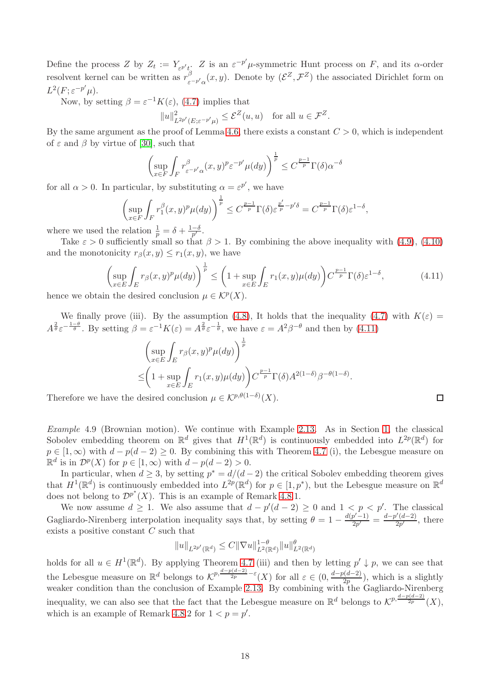Define the process Z by  $Z_t := Y_{\varepsilon^{p'}t} Z$  is an  $\varepsilon^{-p'}\mu$ -symmetric Hunt process on F, and its  $\alpha$ -order resolvent kernel can be written as  $r^{\beta}$  $\int_{\varepsilon^{-p'}\alpha}^{\beta}(x,y)$ . Denote by  $(\mathcal{E}^Z,\mathcal{F}^Z)$  the associated Dirichlet form on  $L^2(F; \varepsilon^{-p'}\mu).$ 

Now, by setting  $\beta = \varepsilon^{-1} K(\varepsilon)$ , [\(4.7\)](#page-15-2) implies that

 $||u||^2_{L^{2p'}(E;\varepsilon^{-p'}\mu)} \leq \mathcal{E}^Z(u,u)$  for all  $u \in \mathcal{F}^Z$ .

By the same argument as the proof of Lemma [4.6,](#page-14-1) there exists a constant  $C > 0$ , which is independent of  $\varepsilon$  and  $\beta$  by virtue of [\[30\]](#page-21-1), such that

$$
\left(\sup_{x\in F}\int_F r_{\varepsilon^{-p'}\alpha}^{\beta}(x,y)^p \varepsilon^{-p'}\mu(dy)\right)^{\frac{1}{p}} \leq C^{\frac{p-1}{p}}\Gamma(\delta)\alpha^{-\delta}
$$

for all  $\alpha > 0$ . In particular, by substituting  $\alpha = \varepsilon^{p'}$ , we have

$$
\left(\sup_{x\in F}\int_{F}r_{1}^{\beta}(x,y)^{p}\mu(dy)\right)^{\frac{1}{p}} \leq C^{\frac{p-1}{p}}\Gamma(\delta)\varepsilon^{\frac{p'}{p}-p'\delta} = C^{\frac{p-1}{p}}\Gamma(\delta)\varepsilon^{1-\delta},
$$

where we used the relation  $\frac{1}{p} = \delta + \frac{1-\delta}{p'}$  $\frac{-\delta}{p'}$  .

Take  $\varepsilon > 0$  sufficiently small so that  $\beta > 1$ . By combining the above inequality with [\(4.9\)](#page-16-0), [\(4.10\)](#page-16-1) and the monotonicity  $r_\beta(x, y) \leq r_1(x, y)$ , we have

$$
\left(\sup_{x \in E} \int_{E} r_{\beta}(x, y)^{p} \mu(dy)\right)^{\frac{1}{p}} \le \left(1 + \sup_{x \in E} \int_{E} r_{1}(x, y) \mu(dy)\right) C^{\frac{p-1}{p}} \Gamma(\delta) \varepsilon^{1-\delta},\tag{4.11}
$$
\nIn the desired conclusion:

\n
$$
\mu \in K^{p}(X)
$$

hence we obtain the desired conclusion  $\mu \in \mathcal{K}^p(X)$ .

We finally prove (iii). By the assumption [\(4.8\)](#page-15-4), It holds that the inequality [\(4.7\)](#page-15-2) with  $K(\varepsilon)$  =  $A^{\frac{2}{\theta}}\varepsilon^{-\frac{1-\theta}{\theta}}$ . By setting  $\beta = \varepsilon^{-1}K(\varepsilon) = A^{\frac{2}{\theta}}\varepsilon^{-\frac{1}{\theta}}$ , we have  $\varepsilon = A^2\beta^{-\theta}$  and then by [\(4.11\)](#page-17-1)

$$
\left(\sup_{x\in E} \int_E r_\beta(x,y)^p \mu(dy)\right)^{\frac{1}{p}}\leq \left(1+\sup_{x\in E} \int_E r_1(x,y)\mu(dy)\right) C^{\frac{p-1}{p}} \Gamma(\delta) A^{2(1-\delta)} \beta^{-\theta(1-\delta)}.
$$

Therefore we have the desired conclusion  $\mu \in \mathcal{K}^{p,\theta(1-\delta)}(X)$ .

<span id="page-17-0"></span>Example 4.9 (Brownian motion). We continue with Example [2.13.](#page-8-4) As in Section [1,](#page-0-2) the classical Sobolev embedding theorem on  $\mathbb{R}^d$  gives that  $H^1(\mathbb{R}^d)$  is continuously embedded into  $L^{2p}(\mathbb{R}^d)$  for  $p \in [1,\infty)$  with  $d - p(d-2) \geq 0$ . By combining this with Theorem [4.7](#page-15-0) (i), the Lebesgue measure on  $\mathbb{R}^d$  is in  $\mathcal{D}^p(X)$  for  $p \in [1,\infty)$  with  $d-p(d-2) > 0$ .

In particular, when  $d \geq 3$ , by setting  $p^* = d/(d-2)$  the critical Sobolev embedding theorem gives that  $H^1(\mathbb{R}^d)$  is continuously embedded into  $L^{2p}(\mathbb{R}^d)$  for  $p \in [1, p^*)$ , but the Lebesgue measure on  $\mathbb{R}^d$ does not belong to  $\mathcal{D}^{p^*}(X)$ . This is an example of Remark [4.8.](#page-15-5)1.

We now assume  $d \geq 1$ . We also assume that  $d - p'(d - 2) \geq 0$  and  $1 < p < p'$ . The classical Gagliardo-Nirenberg interpolation inequality says that, by setting  $\theta = 1 - \frac{d(p'-1)}{2p'}$  $\frac{p'-1)}{2p'}=\frac{d-p'(d-2)}{2p'}$  $\frac{a-2j}{2p'}$ , there exists a positive constant C such that

$$
||u||_{L^{2p'}(\mathbb{R}^d)} \leq C||\nabla u||_{L^2(\mathbb{R}^d)}^{1-\theta} ||u||_{L^2(\mathbb{R}^d)}^{\theta}
$$

holds for all  $u \in H^1(\mathbb{R}^d)$ . By applying Theorem [4.7](#page-15-0) (iii) and then by letting  $p' \downarrow p$ , we can see that the Lebesgue measure on  $\mathbb{R}^d$  belongs to  $\mathcal{K}^{p, \frac{d-p(d-2)}{2p} - \varepsilon}(X)$  for all  $\varepsilon \in (0, \frac{d-p(d-2)}{2p})$  $\frac{2p}{2p}$ , which is a slightly weaker condition than the conclusion of Example [2.13.](#page-8-4) By combining with the Gagliardo-Nirenberg inequality, we can also see that the fact that the Lebesgue measure on  $\mathbb{R}^d$  belongs to  $\mathcal{K}^{p, \frac{d-p(d-2)}{2p}}(X)$ , which is an example of Remark [4.8.](#page-15-5)2 for  $1 < p = p'$ .

<span id="page-17-1"></span>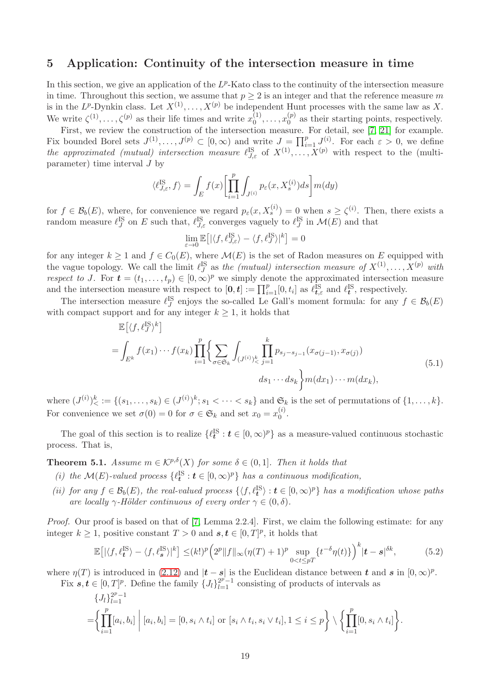## <span id="page-18-0"></span>5 Application: Continuity of the intersection measure in time

In this section, we give an application of the  $L^p$ -Kato class to the continuity of the intersection measure in time. Throughout this section, we assume that  $p \geq 2$  is an integer and that the reference measure m is in the L<sup>p</sup>-Dynkin class. Let  $X^{(1)}, \ldots, X^{(p)}$  be independent Hunt processes with the same law as X. We write  $\zeta^{(1)}, \ldots, \zeta^{(p)}$  as their life times and write  $x_0^{(1)}$  $x_0^{(1)}, \ldots, x_0^{(p)}$  $_{0}^{(p)}$  as their starting points, respectively.

First, we review the construction of the intersection measure. For detail, see [\[7,](#page-20-13) [21\]](#page-21-10) for example. Fix bounded Borel sets  $J^{(1)}, \ldots, J^{(p)} \subset [0, \infty)$  and write  $J = \prod_{i=1}^p J^{(i)}_i$ . For each  $\varepsilon > 0$ , we define the approximated (mutual) intersection measure  $\ell_{J,\varepsilon}^{IS}$  of  $X^{(1)},\ldots,X^{(p)}$  with respect to the (multiparameter) time interval J by

$$
\langle \ell_{J,\varepsilon}^{\text{IS}},f\rangle = \int_E f(x)\biggl[\prod_{i=1}^p\int_{J^{(i)}}p_\varepsilon(x,X^{(i)}_s)ds\biggr]m(dy)
$$

for  $f \in \mathcal{B}_b(E)$ , where, for convenience we regard  $p_{\varepsilon}(x, X_s^{(i)}) = 0$  when  $s \geq \zeta^{(i)}$ . Then, there exists a random measure  $\ell_J^{\text{IS}}$  on E such that,  $\ell_{J,\varepsilon}^{\text{IS}}$  converges vaguely to  $\ell_J^{\text{IS}}$  in  $\mathcal{M}(E)$  and that

$$
\lim_{\varepsilon\to 0}\mathbb{E}\big[|\langle f,\ell_{J,\varepsilon}^{\mathrm{IS}}\rangle-\langle f,\ell_J^{\mathrm{IS}}\rangle|^k\big]=0
$$

for any integer  $k \geq 1$  and  $f \in C_0(E)$ , where  $\mathcal{M}(E)$  is the set of Radon measures on E equipped with the vague topology. We call the limit  $\ell_J^{\text{IS}}$  as the *(mutual) intersection measure of*  $X^{(1)}, \ldots, X^{(p)}$  with respect to J. For  $\mathbf{t} = (t_1, \ldots, t_p) \in [0, \infty)^p$  we simply denote the approximated intersection measure and the intersection measure with respect to  $[0, t] := \prod_{i=1}^p [0, t_i]$  as  $\ell_{t, \varepsilon}^{\text{IS}}$  and  $\ell_t^{\text{IS}}$ , respectively.

The intersection measure  $\ell_J^{\text{IS}}$  enjoys the so-called Le Gall's moment formula: for any  $f \in \mathcal{B}_b(E)$ with compact support and for any integer  $k \geq 1$ , it holds that

$$
\mathbb{E}\left[\langle f, \ell_J^{\text{IS}} \rangle^k\right]
$$
\n
$$
= \int_{E^k} f(x_1) \cdots f(x_k) \prod_{i=1}^p \left\{ \sum_{\sigma \in \mathfrak{S}_k} \int_{(J^{(i)})^k \leq j=1} \prod_{j=1}^k p_{s_j - s_{j-1}}(x_{\sigma(j-1)}, x_{\sigma(j)}) \right\}
$$
\n
$$
ds_1 \cdots ds_k \left\} m(dx_1) \cdots m(dx_k), \tag{5.1}
$$

where  $(J^{(i)})^k_< := \{(s_1, \ldots, s_k) \in (J^{(i)})^k; s_1 < \cdots < s_k\}$  and  $\mathfrak{S}_k$  is the set of permutations of  $\{1, \ldots, k\}$ . For convenience we set  $\sigma(0) = 0$  for  $\sigma \in \mathfrak{S}_k$  and set  $x_0 = x_0^{(i)}$  $\overset{(i)}{0}$ .

The goal of this section is to realize  $\{\ell_t^{\{S\}}: t \in [0, \infty)^p\}$  as a measure-valued continuous stochastic process. That is,

<span id="page-18-1"></span>**Theorem 5.1.** Assume  $m \in \mathcal{K}^{p,\delta}(X)$  for some  $\delta \in (0,1]$ . Then it holds that

- (i) the  $\mathcal{M}(E)$ -valued process  $\{\ell_t^{\{S\}} : t \in [0, \infty)^p\}$  has a continuous modification,
- (ii) for any  $f \in \mathcal{B}_b(E)$ , the real-valued process  $\{ \langle f, \ell_t^{\text{IS}} \rangle : t \in [0, \infty)^p \}$  has a modification whose paths are locally  $\gamma$ -Hölder continuous of every order  $\gamma \in (0, \delta)$ .

Proof. Our proof is based on that of [\[7,](#page-20-13) Lemma 2.2.4]. First, we claim the following estimate: for any integer  $k \geq 1$ , positive constant  $T > 0$  and  $s, t \in [0, T]^p$ , it holds that

<span id="page-18-2"></span>
$$
\mathbb{E}\left[\left|\langle f,\ell_t^{\mathrm{IS}}\rangle - \langle f,\ell_s^{\mathrm{IS}}\rangle\right|^k\right] \leq (k!)^p \left(2^p \|f\|_{\infty} (\eta(T) + 1)^p \sup_{0 < t \leq pT} \{t^{-\delta}\eta(t)\}\right)^k |t - s|^{\delta k},\tag{5.2}
$$

where  $\eta(T)$  is introduced in [\(2.12\)](#page-7-5) and  $|t - s|$  is the Euclidean distance between t and s in  $[0, \infty)^p$ .

Fix  $s, t \in [0,T]^p$ . Define the family  $\{J_l\}_{l=1}^{2^p-1}$  consisting of products of intervals as

$$
\{J_l\}_{l=1}^{2^p-1}
$$
  
= $\left\{\prod_{i=1}^p [a_i, b_i] \middle| [a_i, b_i] = [0, s_i \wedge t_i] \text{ or } [s_i \wedge t_i, s_i \vee t_i], 1 \le i \le p \right\} \setminus \left\{\prod_{i=1}^p [0, s_i \wedge t_i] \right\}.$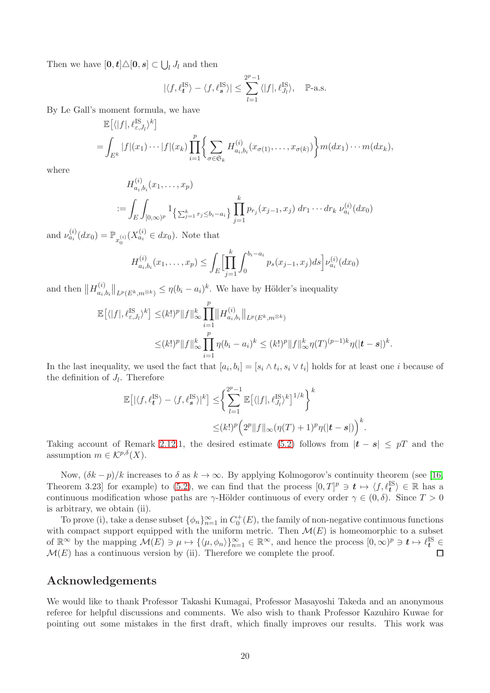Then we have  $[\mathbf{0}, \mathbf{t}] \triangle [\mathbf{0}, \mathbf{s}] \subset \bigcup_l J_l$  and then

$$
|\langle f, \ell_t^{\text{IS}} \rangle - \langle f, \ell_s^{\text{IS}} \rangle| \le \sum_{l=1}^{2^p - 1} \langle |f|, \ell_{J_l}^{\text{IS}} \rangle
$$
,  $\mathbb{P}\text{-a.s.}$ 

By Le Gall's moment formula, we have

$$
\mathbb{E}[\langle |f|, \ell_{\varepsilon, J_l}^{\text{IS}} \rangle^k]
$$
  
=  $\int_{E^k} |f|(x_1) \cdots |f|(x_k) \prod_{i=1}^p \left\{ \sum_{\sigma \in \mathfrak{S}_k} H_{a_i, b_i}^{(i)}(x_{\sigma(1)}, \dots, x_{\sigma(k)}) \right\} m(dx_1) \cdots m(dx_k),$ 

where

$$
H_{a_i,b_i}^{(i)}(x_1,\ldots,x_p)
$$
  
:=  $\int_E \int_{[0,\infty)^p} 1_{\left\{\sum_{j=1}^k r_j \le b_i - a_i\right\}} \prod_{j=1}^k p_{r_j}(x_{j-1},x_j) dr_1 \cdots dr_k \nu_{a_i}^{(i)}(dx_0)$ 

and  $\nu_{a_i}^{(i)}(dx_0) = \mathbb{P}_{x_0^{(i)}}(X_{a_i}^{(i)} \in dx_0)$ . Note that

 $\langle \cdot \rangle$ 

$$
H_{a_i,b_i}^{(i)}(x_1,\ldots,x_p) \leq \int_E \Bigl[\prod_{j=1}^k \int_0^{b_i-a_i} p_s(x_{j-1},x_j)ds\Bigr] \nu_{a_i}^{(i)}(dx_0)
$$

and then  $||H_{a_i}^{(i)}||$  $\|a_{a_i,b_i}\|_{L^p(E^k,m^{\otimes k})} \leq \eta(b_i-a_i)^k$ . We have by Hölder's inequality

$$
\mathbb{E}[(|f|, \ell_{\varepsilon, J_l}^{\text{IS}})^k] \leq (k!)^p \|f\|_{\infty}^k \prod_{i=1}^p \|H_{a_i, b_i}^{(i)}\|_{L^p(E^k, m^{\otimes k})}
$$
  

$$
\leq (k!)^p \|f\|_{\infty}^k \prod_{i=1}^p \eta(b_i - a_i)^k \leq (k!)^p \|f\|_{\infty}^k \eta(T)^{(p-1)k} \eta(|t - s|)^k.
$$

In the last inequality, we used the fact that  $[a_i, b_i] = [s_i \wedge t_i, s_i \vee t_i]$  holds for at least one i because of the definition of  $J_l$ . Therefore

$$
\mathbb{E}\left[\left|\langle f, \ell_t^{\mathrm{IS}} \rangle - \langle f, \ell_s^{\mathrm{IS}} \rangle\right|^k\right] \leq \left\{ \sum_{l=1}^{2^p-1} \mathbb{E}\left[\langle |f|, \ell_{J_l}^{\mathrm{IS}} \rangle^k\right]^{1/k} \right\}^k
$$
  

$$
\leq (k!)^p \left(2^p \|f\|_{\infty} (\eta(T) + 1)^p \eta(|t-s|) \right)^k.
$$

Taking account of Remark [2.12.](#page-8-5)1, the desired estimate [\(5.2\)](#page-18-2) follows from  $|t - s| \leq pT$  and the assumption  $m \in \mathcal{K}^{p,\delta}(X)$ .

Now,  $(\delta k - p)/k$  increases to  $\delta$  as  $k \to \infty$ . By applying Kolmogorov's continuity theorem (see [\[16,](#page-20-15) Theorem 3.23] for example) to [\(5.2\)](#page-18-2), we can find that the process  $[0,T]^p \ni t \mapsto \langle f, \ell_t^{\rm IS} \rangle \in \mathbb{R}$  has a continuous modification whose paths are  $\gamma$ -Hölder continuous of every order  $\gamma \in (0, \delta)$ . Since  $T > 0$ is arbitrary, we obtain (ii).

To prove (i), take a dense subset  $\{\phi_n\}_{n=1}^{\infty}$  in  $C_0^+(E)$ , the family of non-negative continuous functions with compact support equipped with the uniform metric. Then  $\mathcal{M}(E)$  is homeomorphic to a subset of  $\mathbb{R}^{\infty}$  by the mapping  $\mathcal{M}(E) \ni \mu \mapsto {\langle \mu, \phi_n \rangle\}_{n=1}^{\infty} \in \mathbb{R}^{\infty}$ , and hence the process  $[0, \infty)^p \ni t \mapsto \ell_t^{\text{IS}} \in$  $\mathcal{M}(E)$  has a continuous version by (ii). Therefore we complete the proof.  $\Box$ 

## Acknowledgements

We would like to thank Professor Takashi Kumagai, Professor Masayoshi Takeda and an anonymous referee for helpful discussions and comments. We also wish to thank Professor Kazuhiro Kuwae for pointing out some mistakes in the first draft, which finally improves our results. This work was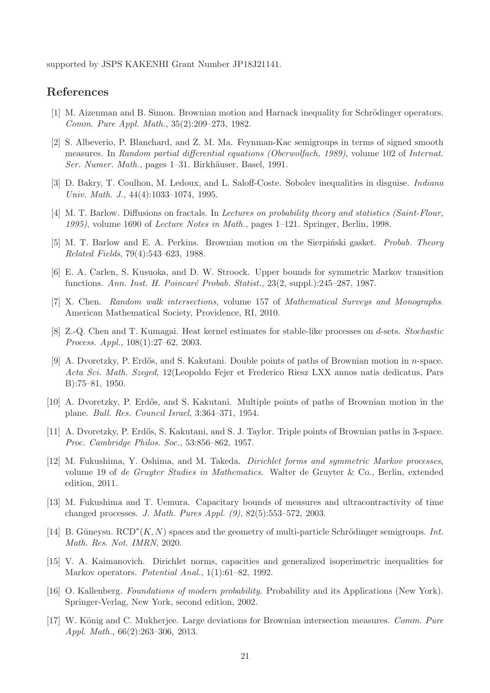supported by JSPS KAKENHI Grant Number JP18J21141.

## <span id="page-20-4"></span>References

- <span id="page-20-5"></span>[1] M. Aizenman and B. Simon. Brownian motion and Harnack inequality for Schrödinger operators. Comm. Pure Appl. Math., 35(2):209–273, 1982.
- [2] S. Albeverio, P. Blanchard, and Z. M. Ma. Feynman-Kac semigroups in terms of signed smooth measures. In Random partial differential equations (Oberwolfach, 1989), volume 102 of Internat. Ser. Numer. Math., pages 1–31. Birkhäuser, Basel, 1991.
- <span id="page-20-7"></span><span id="page-20-0"></span>[3] D. Bakry, T. Coulhon, M. Ledoux, and L. Saloff-Coste. Sobolev inequalities in disguise. Indiana Univ. Math. J., 44(4):1033–1074, 1995.
- <span id="page-20-6"></span>[4] M. T. Barlow. Diffusions on fractals. In Lectures on probability theory and statistics (Saint-Flour, 1995), volume 1690 of Lecture Notes in Math., pages 1–121. Springer, Berlin, 1998.
- <span id="page-20-1"></span>[5] M. T. Barlow and E. A. Perkins. Brownian motion on the Sierpinski gasket. *Probab. Theory* Related Fields, 79(4):543–623, 1988.
- <span id="page-20-13"></span>[6] E. A. Carlen, S. Kusuoka, and D. W. Stroock. Upper bounds for symmetric Markov transition functions. Ann. Inst. H. Poincar´e Probab. Statist., 23(2, suppl.):245–287, 1987.
- <span id="page-20-8"></span>[7] X. Chen. Random walk intersections, volume 157 of Mathematical Surveys and Monographs. American Mathematical Society, Providence, RI, 2010.
- [8] Z.-Q. Chen and T. Kumagai. Heat kernel estimates for stable-like processes on d-sets. Stochastic Process. Appl., 108(1):27–62, 2003.
- <span id="page-20-9"></span>[9] A. Dvoretzky, P. Erdős, and S. Kakutani. Double points of paths of Brownian motion in  $n$ -space. Acta Sci. Math. Szeged, 12(Leopoldo Fejer et Frederico Riesz LXX annos natis dedicatus, Pars B):75–81, 1950.
- <span id="page-20-11"></span><span id="page-20-10"></span>[10] A. Dvoretzky, P. Erdős, and S. Kakutani. Multiple points of paths of Brownian motion in the plane. Bull. Res. Council Israel, 3:364–371, 1954.
- <span id="page-20-14"></span>[11] A. Dvoretzky, P. Erdős, S. Kakutani, and S. J. Taylor. Triple points of Brownian paths in 3-space. Proc. Cambridge Philos. Soc., 53:856–862, 1957.
- [12] M. Fukushima, Y. Oshima, and M. Takeda. Dirichlet forms and symmetric Markov processes, volume 19 of de Gruyter Studies in Mathematics. Walter de Gruyter & Co., Berlin, extended edition, 2011.
- <span id="page-20-3"></span>[13] M. Fukushima and T. Uemura. Capacitary bounds of measures and ultracontractivity of time changed processes. J. Math. Pures Appl. (9), 82(5):553–572, 2003.
- [14] B. Güneysu.  $RCD^*(K, N)$  spaces and the geometry of multi-particle Schrödinger semigroups. Int. Math. Res. Not. IMRN, 2020.
- <span id="page-20-2"></span>[15] V. A. Kaimanovich. Dirichlet norms, capacities and generalized isoperimetric inequalities for Markov operators. Potential Anal., 1(1):61–82, 1992.
- <span id="page-20-15"></span>[16] O. Kallenberg. Foundations of modern probability. Probability and its Applications (New York). Springer-Verlag, New York, second edition, 2002.
- <span id="page-20-12"></span>[17] W. König and C. Mukherjee. Large deviations for Brownian intersection measures. Comm. Pure Appl. Math., 66(2):263–306, 2013.